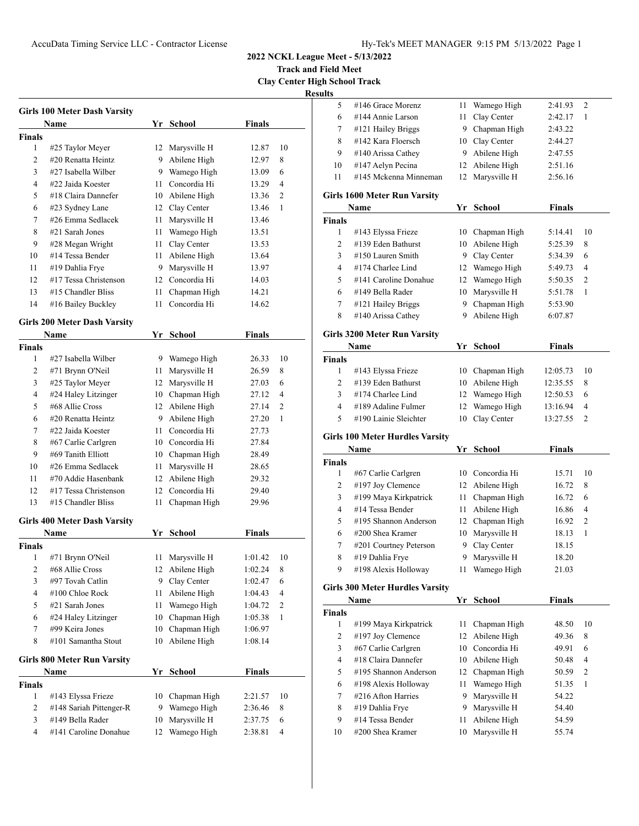## AccuData Timing Service LLC - Contractor License Hy-Tek's MEET MANAGER 9:15 PM 5/13/2022 Page 1

**2022 NCKL League Meet - 5/13/2022**

**Track and Field Meet Clay Center High School Track**

|               | <b>Girls 100 Meter Dash Varsity</b> |      |                 |               |    |
|---------------|-------------------------------------|------|-----------------|---------------|----|
|               | Name                                | Yr   | <b>School</b>   | Finals        |    |
| <b>Finals</b> |                                     |      |                 |               |    |
| 1             | #25 Taylor Meyer                    | 12   | Marysville H    | 12.87         | 10 |
| 2             | #20 Renatta Heintz                  | 9.   | Abilene High    | 12.97         | 8  |
| 3             | #27 Isabella Wilber                 |      | 9 Wamego High   | 13.09         | 6  |
| 4             | #22 Jaida Koester                   | 11 - | Concordia Hi    | 13.29         | 4  |
| 5             | #18 Claira Dannefer                 | 10   | Abilene High    | 13.36         | 2  |
| 6             | #23 Sydney Lane                     |      | 12 Clay Center  | 13.46         | 1  |
| 7             | #26 Emma Sedlacek                   | 11   | Marysville H    | 13.46         |    |
| 8             | #21 Sarah Jones                     | 11   | Wamego High     | 13.51         |    |
| 9             | #28 Megan Wright                    | 11   | Clay Center     | 13.53         |    |
| 10            | #14 Tessa Bender                    | 11   | Abilene High    | 13.64         |    |
| 11            | #19 Dahlia Frye                     | 9    | Marysville H    | 13.97         |    |
| 12            | #17 Tessa Christenson               | 12   | Concordia Hi    | 14.03         |    |
| 13            | #15 Chandler Bliss                  | 11   | Chapman High    | 14.21         |    |
| 14            | #16 Bailey Buckley                  | 11   | Concordia Hi    | 14.62         |    |
|               |                                     |      |                 |               |    |
|               | <b>Girls 200 Meter Dash Varsity</b> |      |                 |               |    |
|               | Name                                | Yr   | <b>School</b>   | Finals        |    |
| <b>Finals</b> |                                     |      |                 |               |    |
| 1             | #27 Isabella Wilber                 | 9    | Wamego High     | 26.33         | 10 |
| 2             | #71 Brynn O'Neil                    | 11   | Marysville H    | 26.59         | 8  |
| 3             | #25 Taylor Meyer                    |      | 12 Marysville H | 27.03         | 6  |
| 4             | #24 Haley Litzinger                 |      | 10 Chapman High | 27.12         | 4  |
| 5             | #68 Allie Cross                     |      | 12 Abilene High | 27.14         | 2  |
| 6             | #20 Renatta Heintz                  | 9.   | Abilene High    | 27.20         | 1  |
| 7             | #22 Jaida Koester                   | 11   | Concordia Hi    | 27.73         |    |
| 8             | #67 Carlie Carlgren                 |      | 10 Concordia Hi | 27.84         |    |
| 9             | #69 Tanith Elliott                  | 10   | Chapman High    | 28.49         |    |
| 10            | #26 Emma Sedlacek                   | 11   | Marysville H    | 28.65         |    |
| 11            | #70 Addie Hasenbank                 | 12   | Abilene High    | 29.32         |    |
| 12            | #17 Tessa Christenson               | 12   | Concordia Hi    | 29.40         |    |
| 13            | #15 Chandler Bliss                  | 11   | Chapman High    | 29.96         |    |
|               | <b>Girls 400 Meter Dash Varsity</b> |      |                 |               |    |
|               | Name                                | Yr   | School          | <b>Finals</b> |    |
| <b>Finals</b> |                                     |      |                 |               |    |
| 1             | #71 Brynn O'Neil                    | 11   | Marysville H    | 1:01.42       | 10 |
| 2             | #68 Allie Cross                     | 12   | Abilene High    | 1:02.24       | 8  |
| 3             | #97 Tovah Catlin                    | 9    | Clay Center     | 1:02.47       | 6  |
| 4             | #100 Chloe Rock                     | 11   | Abilene High    | 1:04.43       | 4  |
| 5             | #21 Sarah Jones                     | 11   | Wamego High     | 1:04.72       | 2  |
| 6             | #24 Haley Litzinger                 | 10   | Chapman High    | 1:05.38       | 1  |
| 7             | #99 Keira Jones                     | 10   | Chapman High    | 1:06.97       |    |
| 8             | #101 Samantha Stout                 | 10   | Abilene High    | 1:08.14       |    |
|               |                                     |      |                 |               |    |
|               | <b>Girls 800 Meter Run Varsity</b>  |      |                 |               |    |
|               | Name                                | Yr   | <b>School</b>   | <b>Finals</b> |    |
| <b>Finals</b> |                                     |      |                 |               |    |
| 1             | #143 Elyssa Frieze                  |      | 10 Chapman High | 2:21.57       | 10 |
| 2             | #148 Sariah Pittenger-R             | 9.   | Wamego High     | 2:36.46       | 8  |
| 3             | #149 Bella Rader                    | 10   | Marysville H    | 2:37.75       | 6  |
| 4             | #141 Caroline Donahue               | 12   | Wamego High     | 2:38.81       | 4  |

| ults          |                                        |      |                 |               |                |
|---------------|----------------------------------------|------|-----------------|---------------|----------------|
| 5             | #146 Grace Morenz                      | 11   | Wamego High     | 2:41.93       | 2              |
| 6             | #144 Annie Larson                      | 11   | Clay Center     | 2:42.17       | 1              |
| 7             | #121 Hailey Briggs                     | 9.   | Chapman High    | 2:43.22       |                |
| 8             | #142 Kara Floersch                     |      | 10 Clay Center  | 2:44.27       |                |
| 9             | #140 Arissa Cathey                     | 9    | Abilene High    | 2:47.55       |                |
| 10            | #147 Aelyn Pecina                      | 12   | Abilene High    | 2:51.16       |                |
| 11            | #145 Mckenna Minneman                  | 12   | Marysville H    | 2:56.16       |                |
|               | Girls 1600 Meter Run Varsity           |      |                 |               |                |
|               | Name                                   | Yr   | School          | <b>Finals</b> |                |
| <b>Finals</b> |                                        |      |                 |               |                |
| 1             | #143 Elyssa Frieze                     | 10   | Chapman High    | 5:14.41       | 10             |
| 2             | #139 Eden Bathurst                     | 10   | Abilene High    | 5:25.39       | 8              |
| 3             | #150 Lauren Smith                      | 9.   | Clay Center     | 5:34.39       | 6              |
| 4             | #174 Charlee Lind                      | 12   | Wamego High     | 5:49.73       | 4              |
| 5             | #141 Caroline Donahue                  | 12   | Wamego High     | 5:50.35       | 2              |
| 6             | #149 Bella Rader                       | 10   | Marysville H    | 5:51.78       | 1              |
| 7             | #121 Hailey Briggs                     | 9    | Chapman High    | 5:53.90       |                |
| 8             | #140 Arissa Cathey                     | 9    | Abilene High    | 6:07.87       |                |
|               | <b>Girls 3200 Meter Run Varsity</b>    |      |                 |               |                |
|               | Name                                   | Yr   | <b>School</b>   | <b>Finals</b> |                |
| <b>Finals</b> |                                        |      |                 |               |                |
| 1             | #143 Elyssa Frieze                     |      | 10 Chapman High | 12:05.73      | 10             |
| 2             | #139 Eden Bathurst                     | 10   | Abilene High    | 12:35.55      | 8              |
| 3             | #174 Charlee Lind                      | 12   | Wamego High     | 12:50.53      | 6              |
| 4             | #189 Adaline Fulmer                    | 12   | Wamego High     | 13:16.94      | 4              |
|               |                                        |      |                 |               |                |
| 5             | #190 Lainie Sleichter                  | 10   | Clay Center     | 13:27.55      | 2              |
|               | <b>Girls 100 Meter Hurdles Varsity</b> |      |                 |               |                |
|               | Name                                   | Yr   | <b>School</b>   | <b>Finals</b> |                |
| <b>Finals</b> |                                        |      |                 |               |                |
| 1             | #67 Carlie Carlgren                    |      | 10 Concordia Hi | 15.71         | 10             |
| 2             | #197 Joy Clemence                      |      | 12 Abilene High | 16.72         | 8              |
| 3             | #199 Maya Kirkpatrick                  | 11 - | Chapman High    | 16.72         | 6              |
| 4             | #14 Tessa Bender                       | 11   | Abilene High    | 16.86         | 4              |
| 5             | #195 Shannon Anderson                  |      | 12 Chapman High | 16.92         | 2              |
| 6             | #200 Shea Kramer                       | 10   | Marysville H    | 18.13         | 1              |
| 7             | #201 Courtney Peterson                 | 9    | Clay Center     | 18.15         |                |
| 8             | #19 Dahlia Frye                        | 9    | Marysville H    | 18.20         |                |
| 9             | #198 Alexis Holloway                   | 11   | Wamego High     | 21.03         |                |
|               | <b>Girls 300 Meter Hurdles Varsity</b> |      |                 |               |                |
|               | Name                                   | Yr   | School          | <b>Finals</b> |                |
| <b>Finals</b> |                                        |      |                 |               |                |
| 1             | #199 Maya Kirkpatrick                  | 11   | Chapman High    | 48.50         | 10             |
| $\mathbf{2}$  | #197 Joy Clemence                      | 12   | Abilene High    | 49.36         | 8              |
| 3             | #67 Carlie Carlgren                    | 10   | Concordia Hi    | 49.91         | 6              |
| 4             | #18 Claira Dannefer                    | 10   | Abilene High    | 50.48         | 4              |
| 5             | #195 Shannon Anderson                  | 12   | Chapman High    | 50.59         | $\mathfrak{2}$ |
| 6             | #198 Alexis Holloway                   | 11   | Wamego High     | 51.35         | 1              |
| 7             | #216 Afton Harries                     | 9    | Marysville H    | 54.22         |                |
| 8             | #19 Dahlia Frye                        | 9    | Marysville H    | 54.40         |                |
| 9             | #14 Tessa Bender                       | 11   | Abilene High    | 54.59         |                |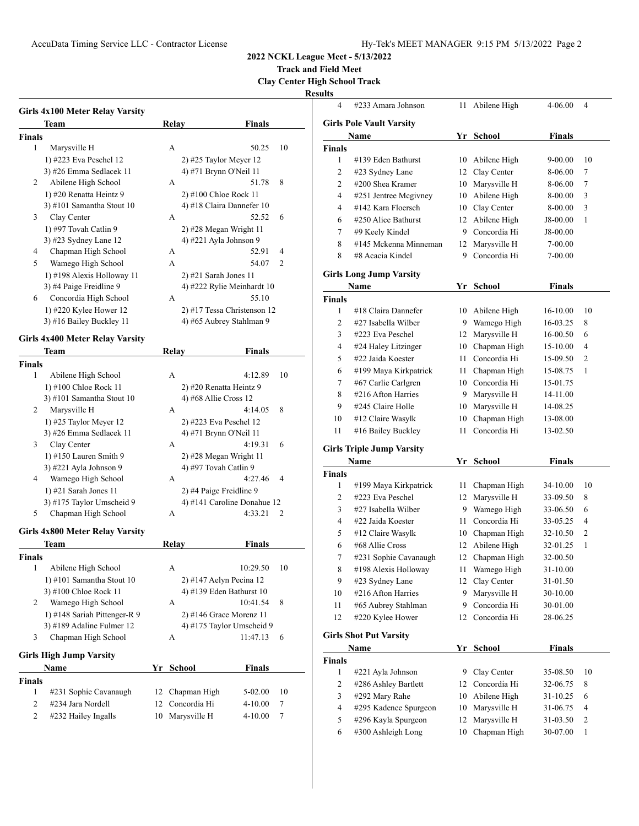## AccuData Timing Service LLC - Contractor License Hy-Tek's MEET MANAGER 9:15 PM 5/13/2022 Page 2

**2022 NCKL League Meet - 5/13/2022**

**Track and Field Meet**

**Clay Center High School Track**

|               | Girls 4x100 Meter Relay Varsity                   |    |              |                             |               |    |
|---------------|---------------------------------------------------|----|--------------|-----------------------------|---------------|----|
|               | Team                                              |    | <b>Relay</b> |                             | <b>Finals</b> |    |
| Finals        |                                                   |    |              |                             |               |    |
| 1             | Marysville H                                      |    | А            |                             | 50.25         | 10 |
|               | 1) #223 Eva Peschel 12                            |    |              | 2) #25 Taylor Meyer 12      |               |    |
|               | 3) #26 Emma Sedlacek 11                           |    |              | 4) #71 Brynn O'Neil 11      |               |    |
| 2             | Abilene High School                               |    | A            |                             | 51.78         | 8  |
|               | 1) #20 Renatta Heintz 9                           |    |              | 2) #100 Chloe Rock 11       |               |    |
|               | 3) #101 Samantha Stout $10$                       |    |              | 4) #18 Claira Dannefer 10   |               |    |
| 3             | Clay Center                                       |    | А            |                             | 52.52         | 6  |
|               | 1) #97 Tovah Catlin 9                             |    |              | 2) #28 Megan Wright 11      |               |    |
|               | 3) #23 Sydney Lane 12                             |    |              | 4) #221 Ayla Johnson 9      |               |    |
| 4             | Chapman High School                               |    | А            |                             | 52.91         | 4  |
| 5             | Wamego High School                                |    | А            |                             | 54.07         | 2  |
|               | 1) #198 Alexis Holloway 11                        |    |              | $2)$ #21 Sarah Jones 11     |               |    |
|               | 3) #4 Paige Freidline 9                           |    |              | 4) #222 Rylie Meinhardt 10  |               |    |
| 6             | Concordia High School                             |    | А            |                             | 55.10         |    |
|               | 1) #220 Kylee Hower 12                            |    |              | 2) #17 Tessa Christenson 12 |               |    |
|               | 3) #16 Bailey Buckley 11                          |    |              | 4) #65 Aubrey Stahlman 9    |               |    |
|               | Girls 4x400 Meter Relay Varsity                   |    |              |                             |               |    |
|               | Team                                              |    | Relay        |                             | Finals        |    |
| <b>Finals</b> |                                                   |    |              |                             |               |    |
| 1             | Abilene High School                               |    | А            |                             | 4:12.89       | 10 |
|               | 1) #100 Chloe Rock 11                             |    |              | 2) #20 Renatta Heintz 9     |               |    |
|               | 3) #101 Samantha Stout 10                         |    |              | 4) #68 Allie Cross $12$     |               |    |
| 2             | Marysville H                                      |    | А            |                             | 4:14.05       | 8  |
|               |                                                   |    |              | 2) #223 Eva Peschel 12      |               |    |
|               | 1) #25 Taylor Meyer 12<br>3) #26 Emma Sedlacek 11 |    |              | 4) #71 Brynn O'Neil 11      |               |    |
| 3             | Clay Center                                       |    | А            |                             | 4:19.31       | 6  |
|               | 1) #150 Lauren Smith 9                            |    |              | 2) #28 Megan Wright 11      |               |    |
|               | 3) #221 Ayla Johnson 9                            |    |              | 4) #97 Tovah Catlin 9       |               |    |
| 4             | Wamego High School                                |    | А            |                             | 4:27.46       | 4  |
|               | 1) #21 Sarah Jones 11                             |    |              | 2) #4 Paige Freidline 9     |               |    |
|               | 3) #175 Taylor Umscheid 9                         |    |              | 4) #141 Caroline Donahue 12 |               |    |
| 5             | Chapman High School                               |    | А            |                             | 4:33.21       | 2  |
|               |                                                   |    |              |                             |               |    |
|               | Girls 4x800 Meter Relay Varsity                   |    |              |                             |               |    |
|               | Team                                              |    | Relay        |                             | <b>Finals</b> |    |
| Finals        |                                                   |    |              |                             |               |    |
| 1             | Abilene High School                               |    | А            |                             | 10:29.50      | 10 |
|               | 1) #101 Samantha Stout 10                         |    |              | 2) #147 Aelyn Pecina 12     |               |    |
|               | 3) #100 Chloe Rock 11                             |    |              | 4) #139 Eden Bathurst 10    |               |    |
| 2             | Wamego High School                                |    | А            |                             | 10:41.54      | 8  |
|               | 1) #148 Sariah Pittenger-R 9                      |    |              | $2)$ #146 Grace Morenz 11   |               |    |
|               | 3) #189 Adaline Fulmer 12                         |    |              | 4) #175 Taylor Umscheid 9   |               |    |
| 3             | Chapman High School                               |    | А            |                             | 11:47.13      | 6  |
|               | <b>Girls High Jump Varsity</b>                    |    |              |                             |               |    |
|               | Name                                              | Υr |              | School                      | <b>Finals</b> |    |
|               |                                                   |    |              |                             |               |    |
| Finals        |                                                   |    |              |                             |               |    |
| 1             | #231 Sophie Cavanaugh                             | 12 |              | Chapman High                | 5-02.00       | 10 |
| 2             | #234 Jara Nordell                                 | 12 |              | Concordia Hi                | 4-10.00       | 7  |
| 2             | #232 Hailey Ingalls                               | 10 |              | Marysville H                | 4-10.00       | 7  |

| 4              | #233 Amara Johnson              | 11 | Abilene High    | 4-06.00       | 4                        |
|----------------|---------------------------------|----|-----------------|---------------|--------------------------|
|                | <b>Girls Pole Vault Varsity</b> |    |                 |               |                          |
|                | Name                            | Yr | <b>School</b>   | <b>Finals</b> |                          |
| Finals         |                                 |    |                 |               |                          |
| 1              | #139 Eden Bathurst              | 10 | Abilene High    | 9-00.00       | 10                       |
| $\overline{c}$ | #23 Sydney Lane                 | 12 | Clay Center     | 8-06.00       | 7                        |
| 2              | #200 Shea Kramer                | 10 | Marysville H    | 8-06.00       | 7                        |
| 4              | #251 Jentree Mcgivney           |    | 10 Abilene High | 8-00.00       | 3                        |
| 4              | #142 Kara Floersch              |    | 10 Clay Center  | 8-00.00       | 3                        |
| 6              | #250 Alice Bathurst             | 12 | Abilene High    | J8-00.00      | 1                        |
| 7              | #9 Keely Kindel                 | 9  | Concordia Hi    | J8-00.00      |                          |
| 8              | #145 Mckenna Minneman           | 12 | Marysville H    | 7-00.00       |                          |
| 8              | #8 Acacia Kindel                | 9  | Concordia Hi    | 7-00.00       |                          |
|                | <b>Girls Long Jump Varsity</b>  |    |                 |               |                          |
|                | Name                            | Yr | School          | <b>Finals</b> |                          |
| Finals         |                                 |    |                 |               |                          |
| 1              | #18 Claira Dannefer             | 10 | Abilene High    | 16-10.00      | 10                       |
| 2              | #27 Isabella Wilber             | 9  | Wamego High     | 16-03.25      | 8                        |
| 3              | #223 Eva Peschel                | 12 | Marysville H    | 16-00.50      | 6                        |
| 4              | #24 Haley Litzinger             |    | 10 Chapman High | 15-10.00      | 4                        |
| 5              | #22 Jaida Koester               | 11 | Concordia Hi    | 15-09.50      | $\overline{c}$           |
| 6              | #199 Maya Kirkpatrick           | 11 | Chapman High    | 15-08.75      | $\mathbf{1}$             |
| 7              | #67 Carlie Carlgren             |    | 10 Concordia Hi | 15-01.75      |                          |
| 8              | #216 Afton Harries              | 9. | Marysville H    | 14-11.00      |                          |
| 9              | #245 Claire Holle               | 10 | Marysville H    | 14-08.25      |                          |
| 10             | #12 Claire Wasylk               | 10 | Chapman High    | 13-08.00      |                          |
| 11             | #16 Bailey Buckley              | 11 | Concordia Hi    | 13-02.50      |                          |
|                | Girls Triple Jump Varsity       |    |                 |               |                          |
|                | Name                            | Yr | <b>School</b>   | <b>Finals</b> |                          |
| Finals         |                                 |    |                 |               |                          |
| 1              | #199 Maya Kirkpatrick           | 11 | Chapman High    | 34-10.00      | 10                       |
| 2              | #223 Eva Peschel                | 12 | Marysville H    | 33-09.50      | 8                        |
| 3              | #27 Isabella Wilber             |    | 9 Wamego High   | 33-06.50      | 6                        |
| 4              | #22 Jaida Koester               | 11 | Concordia Hi    | 33-05.25      | 4                        |
| 5              | #12 Claire Wasylk               | 10 | Chapman High    | 32-10.50      | $\overline{c}$           |
| 6              | #68 Allie Cross                 | 12 | Abilene High    | 32-01.25      | $\mathbf{1}$             |
| 7              | #231 Sophie Cavanaugh           | 12 | Chapman High    | 32-00.50      |                          |
| 8              | #198 Alexis Holloway            | 11 | Wamego High     | 31-10.00      |                          |
| 9              | #23 Sydney Lane                 | 12 | Clay Center     | 31-01.50      |                          |
| 10             | #216 Afton Harries              | 9  | Marysville H    | 30-10.00      |                          |
| 11             | #65 Aubrey Stahlman             | 9  | Concordia Hi    | 30-01.00      |                          |
| 12             | #220 Kylee Hower                | 12 | Concordia Hi    | 28-06.25      |                          |
|                | <b>Girls Shot Put Varsity</b>   |    |                 |               |                          |
|                |                                 |    |                 |               |                          |
|                | Name                            | Yr | <b>School</b>   | <b>Finals</b> |                          |
|                |                                 |    |                 |               |                          |
| 1              | #221 Ayla Johnson               | 9. | Clay Center     | 35-08.50      | 10                       |
| $\overline{c}$ | #286 Ashley Bartlett            | 12 | Concordia Hi    | 32-06.75      | 8                        |
| 3              | #292 Mary Rahe                  | 10 | Abilene High    | 31-10.25      | 6                        |
| 4              | #295 Kadence Spurgeon           | 10 | Marysville H    | 31-06.75      | $\overline{\mathcal{A}}$ |
| 5              | #296 Kayla Spurgeon             | 12 | Marysville H    | 31-03.50      | $\overline{\mathbf{c}}$  |
| Finals<br>6    | #300 Ashleigh Long              | 10 | Chapman High    | 30-07.00      | 1                        |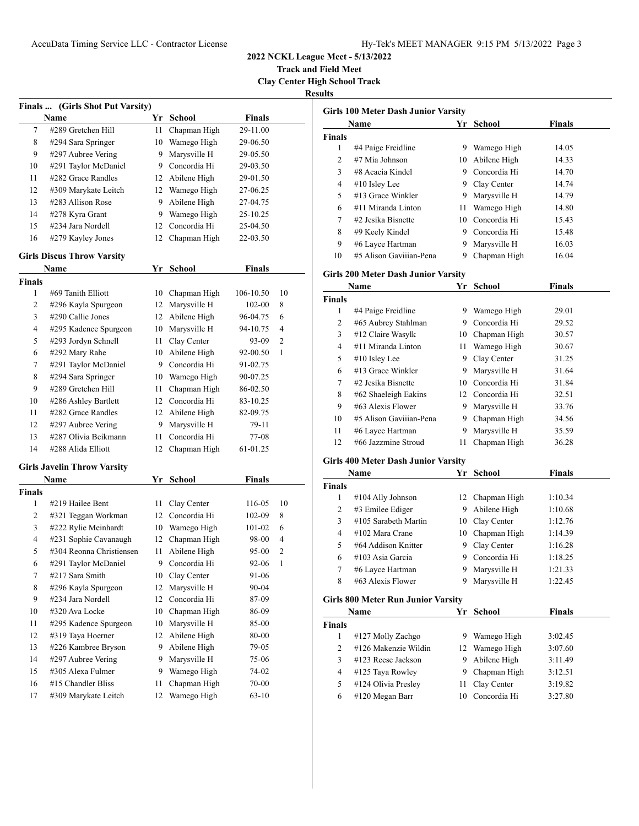**Track and Field Meet Clay Center High School Track**

|               | Finals  (Girls Shot Put Varsity)        |    |                                   |                 |         |
|---------------|-----------------------------------------|----|-----------------------------------|-----------------|---------|
|               | Name                                    | Yr | <b>School</b>                     | <b>Finals</b>   |         |
| 7             | #289 Gretchen Hill                      | 11 | Chapman High                      | 29-11.00        |         |
| 8             | #294 Sara Springer                      | 10 | Wamego High                       | 29-06.50        |         |
| 9             | #297 Aubree Vering                      | 9  | Marysville H                      | 29-05.50        |         |
| 10            | #291 Taylor McDaniel                    |    | 9 Concordia Hi                    | 29-03.50        |         |
| 11            | #282 Grace Randles                      |    | 12 Abilene High                   | 29-01.50        |         |
| 12            | #309 Marykate Leitch                    |    | 12 Wamego High                    | 27-06.25        |         |
| 13            | #283 Allison Rose                       | 9  | Abilene High                      | 27-04.75        |         |
| 14            | #278 Kyra Grant                         | 9  | Wamego High                       | 25-10.25        |         |
| 15            | #234 Jara Nordell                       | 12 | Concordia Hi                      | 25-04.50        |         |
| 16            | #279 Kayley Jones                       | 12 | Chapman High                      | 22-03.50        |         |
|               | <b>Girls Discus Throw Varsity</b>       |    |                                   |                 |         |
|               | Name                                    | Yr | School                            | <b>Finals</b>   |         |
| <b>Finals</b> |                                         |    |                                   |                 |         |
| 1             | #69 Tanith Elliott                      | 10 | Chapman High                      | 106-10.50       | 10      |
| 2             | #296 Kayla Spurgeon                     | 12 | Marysville H                      | 102-00          | 8       |
| 3             | #290 Callie Jones                       | 12 | Abilene High                      | 96-04.75        | 6       |
| 4             | #295 Kadence Spurgeon                   | 10 | Marysville H                      | 94-10.75        | 4       |
| 5             | #293 Jordyn Schnell                     | 11 | Clay Center                       | 93-09           | 2       |
| 6             | #292 Mary Rahe                          | 10 | Abilene High                      | 92-00.50        | 1       |
| 7             | #291 Taylor McDaniel                    |    | 9 Concordia Hi                    | 91-02.75        |         |
| 8             | #294 Sara Springer                      |    | 10 Wamego High                    | 90-07.25        |         |
| 9             | #289 Gretchen Hill                      | 11 | Chapman High                      | 86-02.50        |         |
| 10            | #286 Ashley Bartlett                    |    | 12 Concordia Hi                   | 83-10.25        |         |
| 11            | #282 Grace Randles                      |    | 12 Abilene High                   | 82-09.75        |         |
| 12            | #297 Aubree Vering                      | 9  | Marysville H                      | 79-11           |         |
| 13            | #287 Olivia Beikmann                    | 11 | Concordia Hi                      | 77-08           |         |
| 14            | #288 Alida Elliott                      | 12 | Chapman High                      | 61-01.25        |         |
|               |                                         |    |                                   |                 |         |
|               | <b>Girls Javelin Throw Varsity</b>      |    |                                   |                 |         |
|               | Name                                    | Yr | <b>School</b>                     | <b>Finals</b>   |         |
| Finals<br>1   |                                         |    |                                   |                 |         |
| 2             | #219 Hailee Bent<br>#321 Teggan Workman |    | 11 Clay Center<br>12 Concordia Hi | 116-05          | 10<br>8 |
| 3             | #222 Rylie Meinhardt                    |    | 10 Wamego High                    | 102-09          | 6       |
| 4             | #231 Sophie Cavanaugh                   | 12 | Chapman High                      | 101-02<br>98-00 | 4       |
| 5             | #304 Reonna Christiensen                | 11 | Abilene High                      | 95-00           | 2       |
| 6             | #291 Taylor McDaniel                    |    | 9 Concordia Hi                    | 92-06           | 1       |
| 7             | #217 Sara Smith                         | 10 | Clay Center                       | 91-06           |         |
| 8             | #296 Kayla Spurgeon                     | 12 | Marysville H                      | 90-04           |         |
| 9             | #234 Jara Nordell                       | 12 | Concordia Hi                      | 87-09           |         |
| 10            | #320 Ava Locke                          | 10 | Chapman High                      | 86-09           |         |
| $11\,$        | #295 Kadence Spurgeon                   | 10 | Marysville H                      | 85-00           |         |
| 12            | #319 Taya Hoerner                       | 12 | Abilene High                      | 80-00           |         |
| 13            | #226 Kambree Bryson                     | 9  | Abilene High                      | 79-05           |         |
| 14            | #297 Aubree Vering                      | 9  | Marysville H                      | 75-06           |         |
| 15            | #305 Alexa Fulmer                       | 9  | Wamego High                       | 74-02           |         |
| 16            | #15 Chandler Bliss                      | 11 | Chapman High                      | 70-00           |         |
| 17            | #309 Marykate Leitch                    | 12 | Wamego High                       | $63-10$         |         |
|               |                                         |    |                                   |                 |         |

|                | <b>Girls 100 Meter Dash Junior Varsity</b>        |      |                 |               |
|----------------|---------------------------------------------------|------|-----------------|---------------|
|                | Name                                              |      | Yr School       | Finals        |
| <b>Finals</b>  |                                                   |      |                 |               |
| 1              | #4 Paige Freidline                                |      | 9 Wamego High   | 14.05         |
| 2              | #7 Mia Johnson                                    |      | 10 Abilene High | 14.33         |
| 3              | #8 Acacia Kindel                                  |      | 9 Concordia Hi  | 14.70         |
| 4              | #10 Isley Lee                                     |      | 9 Clay Center   | 14.74         |
| 5              | #13 Grace Winkler                                 |      | 9 Marysville H  | 14.79         |
| 6              | #11 Miranda Linton                                | 11 - | Wamego High     | 14.80         |
| 7              | #2 Jesika Bisnette                                |      | 10 Concordia Hi | 15.43         |
| 8              | #9 Keely Kindel                                   |      | 9 Concordia Hi  | 15.48         |
| 9              | #6 Layce Hartman                                  |      | 9 Marysville H  | 16.03         |
| 10             | #5 Alison Gaviiian-Pena                           | 9.   | Chapman High    | 16.04         |
|                |                                                   |      |                 |               |
|                | <b>Girls 200 Meter Dash Junior Varsity</b>        |      |                 |               |
|                | Name                                              | Yr   | <b>School</b>   | Finals        |
| <b>Finals</b>  |                                                   |      |                 |               |
| 1              | #4 Paige Freidline                                |      | 9 Wamego High   | 29.01         |
| 2              | #65 Aubrey Stahlman                               |      | 9 Concordia Hi  | 29.52         |
| 3              | #12 Claire Wasylk                                 |      | 10 Chapman High | 30.57         |
| 4              | #11 Miranda Linton                                | 11 - | Wamego High     | 30.67         |
| 5              | #10 Isley Lee                                     |      | 9 Clay Center   | 31.25         |
| 6              | #13 Grace Winkler                                 |      | 9 Marysville H  | 31.64         |
| 7              | #2 Jesika Bisnette                                |      | 10 Concordia Hi | 31.84         |
| 8              | #62 Shaeleigh Eakins                              |      | 12 Concordia Hi | 32.51         |
| 9              | #63 Alexis Flower                                 |      | 9 Marysville H  | 33.76         |
| 10             | #5 Alison Gavijian-Pena                           |      | 9 Chapman High  | 34.56         |
| 11             | #6 Layce Hartman                                  |      | 9 Marysville H  | 35.59         |
| 12             | #66 Jazzmine Stroud                               | 11   | Chapman High    | 36.28         |
|                | <b>Girls 400 Meter Dash Junior Varsity</b>        |      |                 |               |
|                | Name                                              | Yr   | School          | <b>Finals</b> |
| <b>Finals</b>  |                                                   |      |                 |               |
| 1              | #104 Ally Johnson                                 |      | 12 Chapman High | 1:10.34       |
| $\overline{2}$ | #3 Emilee Ediger                                  |      | 9 Abilene High  | 1:10.68       |
| 3              | #105 Sarabeth Martin                              |      | 10 Clay Center  | 1:12.76       |
| 4              | $\#102$ Mara Crane                                |      | 10 Chapman High | 1:14.39       |
| 5              | #64 Addison Knitter                               | 9.   | Clay Center     | 1:16.28       |
| 6              | #103 Asia Garcia                                  |      | 9 Concordia Hi  | 1:18.25       |
| 7              | #6 Layce Hartman                                  | 9.   | Marysville H    | 1:21.33       |
| 8              | #63 Alexis Flower                                 | 9    | Marysville H    | 1:22.45       |
|                |                                                   |      |                 |               |
|                | <b>Girls 800 Meter Run Junior Varsity</b><br>Name | Yr   | <b>School</b>   | <b>Finals</b> |
| <b>Finals</b>  |                                                   |      |                 |               |
| $\mathbf{1}$   | #127 Molly Zachgo                                 |      | 9 Wamego High   | 3:02.45       |
| 2              | #126 Makenzie Wildin                              |      | 12 Wamego High  | 3:07.60       |
| 3              | #123 Reese Jackson                                |      | 9 Abilene High  | 3:11.49       |
| 4              | #125 Taya Rowley                                  | 9.   | Chapman High    | 3:12.51       |
| 5              | #124 Olivia Presley                               | 11   | Clay Center     | 3:19.82       |
| 6              | #120 Megan Barr                                   | 10   | Concordia Hi    | 3:27.80       |
|                |                                                   |      |                 |               |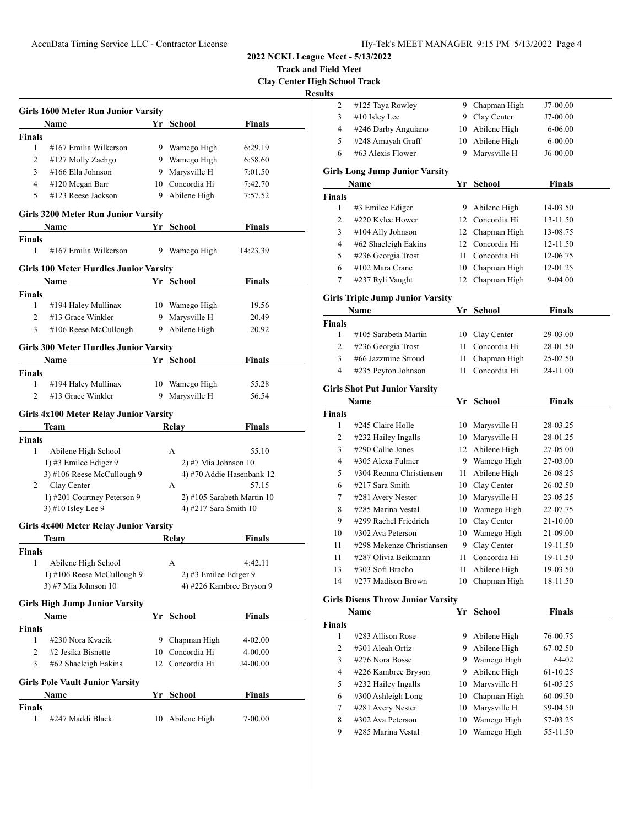**Track and Field Meet Clay Center High School Track**

|                | <b>Girls 1600 Meter Run Junior Varsity</b>    |    |                        |                            |
|----------------|-----------------------------------------------|----|------------------------|----------------------------|
|                | Name                                          |    | Yr School              | <b>Finals</b>              |
| <b>Finals</b>  |                                               |    |                        |                            |
| 1              | #167 Emilia Wilkerson                         |    | 9 Wamego High          | 6:29.19                    |
| 2              | #127 Molly Zachgo                             |    | 9 Wamego High          | 6:58.60                    |
| 3              | #166 Ella Johnson                             |    | 9 Marysville H         | 7:01.50                    |
| 4              | #120 Megan Barr                               |    | 10 Concordia Hi        | 7:42.70                    |
| 5              | #123 Reese Jackson                            | 9  | Abilene High           | 7:57.52                    |
|                | <b>Girls 3200 Meter Run Junior Varsity</b>    |    |                        |                            |
|                | Name                                          | Yr | <b>School</b>          | <b>Finals</b>              |
| <b>Finals</b>  |                                               |    |                        |                            |
| 1              | #167 Emilia Wilkerson                         |    | 9 Wamego High          | 14:23.39                   |
|                | <b>Girls 100 Meter Hurdles Junior Varsity</b> |    |                        |                            |
|                | Name                                          |    | Yr School              | Finals                     |
| <b>Finals</b>  |                                               |    |                        |                            |
| $\mathbf{1}$   | #194 Haley Mullinax                           |    | 10 Wamego High         | 19.56                      |
| $\overline{c}$ | #13 Grace Winkler                             | 9  | Marysville H           | 20.49                      |
| 3              | #106 Reese McCullough                         |    | 9 Abilene High         | 20.92                      |
|                |                                               |    |                        |                            |
|                | <b>Girls 300 Meter Hurdles Junior Varsity</b> |    |                        |                            |
|                | Name                                          |    | Yr School              | <b>Finals</b>              |
| <b>Finals</b>  |                                               |    |                        |                            |
| 1              | #194 Haley Mullinax                           |    | 10 Wamego High         | 55.28                      |
| 2              | #13 Grace Winkler                             | 9  | Marysville H           | 56.54                      |
|                | <b>Girls 4x100 Meter Relay Junior Varsity</b> |    |                        |                            |
|                | Team                                          |    | Relay                  | <b>Finals</b>              |
| <b>Finals</b>  |                                               |    |                        |                            |
| 1              | Abilene High School                           |    | А                      | 55.10                      |
|                | 1) #3 Emilee Ediger 9                         |    | $2)$ #7 Mia Johnson 10 |                            |
|                | 3) #106 Reese McCullough 9                    |    |                        | 4) #70 Addie Hasenbank 12  |
| 2              | Clay Center                                   |    | А                      | 57.15                      |
|                | 1) #201 Courtney Peterson 9                   |    |                        | 2) #105 Sarabeth Martin 10 |
|                | 3) #10 Isley Lee 9                            |    | 4) #217 Sara Smith 10  |                            |
|                |                                               |    |                        |                            |
|                | <b>Girls 4x400 Meter Relay Junior Varsity</b> |    |                        |                            |
|                | Team                                          |    | Relay                  | Finals                     |
| Finals         |                                               |    |                        |                            |
|                | 1 Abilene High School                         |    | А                      | 4:42.11                    |
|                | 1) #106 Reese McCullough 9                    |    | 2) #3 Emilee Ediger 9  |                            |
|                | 3) #7 Mia Johnson 10                          |    |                        | 4) #226 Kambree Bryson 9   |
|                | <b>Girls High Jump Junior Varsity</b>         |    |                        |                            |
|                |                                               |    |                        |                            |
|                | Name                                          |    | Yr School              | <b>Finals</b>              |
| Finals         |                                               |    |                        |                            |
| 1              | #230 Nora Kvacik                              |    | 9 Chapman High         | 4-02.00                    |
| 2              | #2 Jesika Bisnette                            |    | 10 Concordia Hi        | 4-00.00                    |
| 3              | #62 Shaeleigh Eakins                          | 12 | Concordia Hi           | J4-00.00                   |
|                | <b>Girls Pole Vault Junior Varsity</b>        |    |                        |                            |
|                | Name                                          | Υr | <b>School</b>          | <b>Finals</b>              |
| Finals         |                                               |    |                        |                            |
| 1              | #247 Maddi Black                              | 10 | Abilene High           | 7-00.00                    |
|                |                                               |    |                        |                            |

| ults          |                                          |      |                 |               |  |
|---------------|------------------------------------------|------|-----------------|---------------|--|
| 2             | #125 Taya Rowley                         |      | 9 Chapman High  | J7-00.00      |  |
| 3             | #10 Isley Lee                            |      | 9 Clay Center   | J7-00.00      |  |
| 4             | #246 Darby Anguiano                      |      | 10 Abilene High | 6-06.00       |  |
| 5             | #248 Amayah Graff                        |      | 10 Abilene High | $6 - 00.00$   |  |
| 6             | #63 Alexis Flower                        | 9.   | Marysville H    | J6-00.00      |  |
|               | <b>Girls Long Jump Junior Varsity</b>    |      |                 |               |  |
|               | Name                                     |      | Yr School       | <b>Finals</b> |  |
| Finals        |                                          |      |                 |               |  |
| 1             | #3 Emilee Ediger                         | 9.   | Abilene High    | 14-03.50      |  |
| 2             | #220 Kylee Hower                         | 12   | Concordia Hi    | 13-11.50      |  |
| 3             | #104 Ally Johnson                        |      | 12 Chapman High | 13-08.75      |  |
| 4             | #62 Shaeleigh Eakins                     |      | 12 Concordia Hi | 12-11.50      |  |
| 5             | #236 Georgia Trost                       | 11 - | Concordia Hi    | 12-06.75      |  |
| 6             | #102 Mara Crane                          | 10   | Chapman High    | 12-01.25      |  |
| 7             | #237 Ryli Vaught                         | 12   | Chapman High    | 9-04.00       |  |
|               | <b>Girls Triple Jump Junior Varsity</b>  |      |                 |               |  |
|               | Name                                     |      | Yr School       | <b>Finals</b> |  |
| <b>Finals</b> |                                          |      |                 |               |  |
| 1             | #105 Sarabeth Martin                     | 10   | Clay Center     | 29-03.00      |  |
| 2             | #236 Georgia Trost                       | 11   | Concordia Hi    | 28-01.50      |  |
| 3             | #66 Jazzmine Stroud                      | 11   | Chapman High    | 25-02.50      |  |
| 4             | #235 Peyton Johnson                      | 11   | Concordia Hi    | 24-11.00      |  |
|               | <b>Girls Shot Put Junior Varsity</b>     |      |                 |               |  |
|               | Name                                     |      | Yr School       | <b>Finals</b> |  |
| <b>Finals</b> |                                          |      |                 |               |  |
| 1             | #245 Claire Holle                        | 10   | Marysville H    | 28-03.25      |  |
| 2             | #232 Hailey Ingalls                      |      | 10 Marysville H | 28-01.25      |  |
| 3             | #290 Callie Jones                        |      | 12 Abilene High | 27-05.00      |  |
| 4             | #305 Alexa Fulmer                        |      | 9 Wamego High   | 27-03.00      |  |
| 5             | #304 Reonna Christiensen                 | 11   | Abilene High    | 26-08.25      |  |
| 6             | #217 Sara Smith                          |      | 10 Clay Center  | 26-02.50      |  |
| 7             | #281 Avery Nester                        |      | 10 Marysville H | 23-05.25      |  |
| 8             | #285 Marina Vestal                       | 10   | Wamego High     | 22-07.75      |  |
| 9             | #299 Rachel Friedrich                    | 10   | Clay Center     | 21-10.00      |  |
| 10            | #302 Ava Peterson                        | 10   | Wamego High     | 21-09.00      |  |
| 11            | #298 Mekenze Christiansen                | 9    | Clay Center     | 19-11.50      |  |
| 11            | #287 Olivia Beikmann                     | 11   | Concordia Hi    | 19-11.50      |  |
| 13            | #303 Sofi Bracho                         | 11   | Abilene High    | 19-03.50      |  |
| 14            | #277 Madison Brown                       | 10   | Chapman High    | 18-11.50      |  |
|               | <b>Girls Discus Throw Junior Varsity</b> |      |                 |               |  |
|               | <b>Name</b>                              |      | Yr School       | <b>Finals</b> |  |
| <b>Finals</b> |                                          |      |                 |               |  |
| $\mathbf{1}$  | #283 Allison Rose                        |      | 9 Abilene High  | 76-00.75      |  |
| 2             | #301 Aleah Ortiz                         |      | 9 Abilene High  | 67-02.50      |  |
| 3             | #276 Nora Bosse                          | 9.   | Wamego High     | 64-02         |  |
| 4             | #226 Kambree Bryson                      | 9    | Abilene High    | 61-10.25      |  |
|               |                                          |      |                 |               |  |
| 5             | #232 Hailey Ingalls                      | 10   | Marysville H    | 61-05.25      |  |
| 6             | #300 Ashleigh Long                       | 10   | Chapman High    | 60-09.50      |  |
| 7             | #281 Avery Nester                        | 10   | Marysville H    | 59-04.50      |  |
| 8             | #302 Ava Peterson                        | 10   | Wamego High     | 57-03.25      |  |
| 9             | #285 Marina Vestal                       | 10   | Wamego High     | 55-11.50      |  |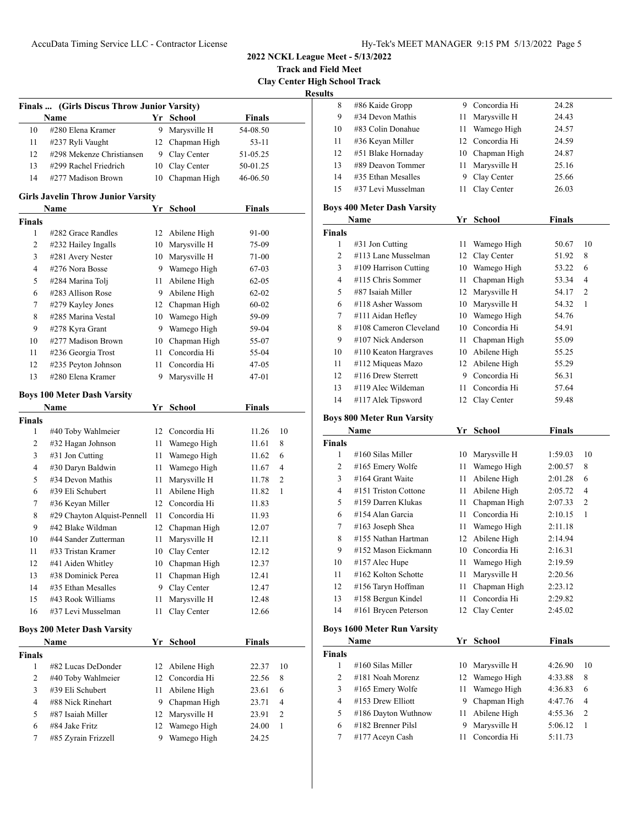**Track and Field Meet Clay Center High School Track**

**Results**

|               | Finals  (Girls Discus Throw Junior Varsity) |    |                 |               |    |
|---------------|---------------------------------------------|----|-----------------|---------------|----|
|               | Name                                        |    | Yr School       | <b>Finals</b> |    |
| 10            | #280 Elena Kramer                           | 9  | Marysville H    | 54-08.50      |    |
| 11            | #237 Ryli Vaught                            |    | 12 Chapman High | 53-11         |    |
| 12            | #298 Mekenze Christiansen                   | 9. | Clay Center     | 51-05.25      |    |
| 13            | #299 Rachel Friedrich                       | 10 | Clay Center     | 50-01.25      |    |
| 14            | #277 Madison Brown                          | 10 | Chapman High    | 46-06.50      |    |
|               | <b>Girls Javelin Throw Junior Varsity</b>   |    |                 |               |    |
|               | Name                                        |    | Yr School       | <b>Finals</b> |    |
| <b>Finals</b> |                                             |    |                 |               |    |
| 1             | #282 Grace Randles                          | 12 | Abilene High    | 91-00         |    |
| 2             | #232 Hailey Ingalls                         | 10 | Marysville H    | 75-09         |    |
| 3             | #281 Avery Nester                           | 10 | Marysville H    | 71-00         |    |
| 4             | #276 Nora Bosse                             | 9  | Wamego High     | 67-03         |    |
| 5             | #284 Marina Tolj                            | 11 | Abilene High    | 62-05         |    |
| 6             | #283 Allison Rose                           | 9  | Abilene High    | 62-02         |    |
| 7             | #279 Kayley Jones                           | 12 | Chapman High    | 60-02         |    |
| 8             | #285 Marina Vestal                          | 10 | Wamego High     | 59-09         |    |
| 9             | #278 Kyra Grant                             | 9  | Wamego High     | 59-04         |    |
| 10            | #277 Madison Brown                          | 10 | Chapman High    | 55-07         |    |
| 11            | #236 Georgia Trost                          | 11 | Concordia Hi    | 55-04         |    |
| 12            | #235 Peyton Johnson                         | 11 | Concordia Hi    | 47-05         |    |
| 13            | #280 Elena Kramer                           | 9  | Marysville H    | 47-01         |    |
|               | <b>Boys 100 Meter Dash Varsity</b>          |    |                 |               |    |
|               | Name                                        |    | Yr School       | <b>Finals</b> |    |
| <b>Finals</b> |                                             |    |                 |               |    |
| 1             | #40 Toby Wahlmeier                          | 12 | Concordia Hi    | 11.26         | 10 |
| 2             | #32 Hagan Johnson                           | 11 | Wamego High     | 11.61         | 8  |
| 3             | #31 Jon Cutting                             | 11 | Wamego High     | 11.62         | 6  |
| 4             | #30 Daryn Baldwin                           | 11 | Wamego High     | 11.67         | 4  |
| 5             | #34 Devon Mathis                            | 11 | Marysville H    | 11.78         | 2  |
| 6             | #39 Eli Schubert                            | 11 | Abilene High    | 11.82         | 1  |
| 7             | #36 Keyan Miller                            | 12 | Concordia Hi    | 11.83         |    |
| 8             | #29 Chayton Alquist-Pennell                 | 11 | Concordia Hi    | 11.93         |    |
| 9             | #42 Blake Wildman                           | 12 | Chapman High    | 12.07         |    |
| 10            | #44 Sander Zutterman                        | 11 | Marysville H    | 12.11         |    |
| 11            | #33 Tristan Kramer                          | 10 | Clay Center     | 12.12         |    |
| 12            | #41 Aiden Whitley                           | 10 | Chapman High    | 12.37         |    |
| 13            | #38 Dominick Perea                          | 11 | Chapman High    | 12.41         |    |
| 14            | #35 Ethan Mesalles                          | 9  | Clay Center     | 12.47         |    |
| 15            | #43 Rook Williams                           | 11 | Marysville H    | 12.48         |    |
| 16            | #37 Levi Musselman                          | 11 | Clay Center     | 12.66         |    |
|               | <b>Boys 200 Meter Dash Varsity</b>          |    |                 |               |    |
|               | Name                                        |    | Yr School       | <b>Finals</b> |    |
| <b>Finals</b> |                                             |    |                 |               |    |
| 1             | #82 Lucas DeDonder                          | 12 | Abilene High    | 22.37         | 10 |
| 2             | #40 Toby Wahlmeier                          | 12 | Concordia Hi    | 22.56         | 8  |
| 3             | #39 Eli Schubert                            | 11 | Abilene High    | 23.61         | 6  |
| 4             | #88 Nick Rinehart                           | 9  | Chapman High    | 23.71         | 4  |
| 5             | #87 Isaiah Miller                           | 12 | Marysville H    | 23.91         | 2  |
| 6             | #84 Jake Fritz                              | 12 | Wamego High     | 24.00         | 1  |
| 7             | #85 Zyrain Frizzell                         | 9. | Wamego High     | 24.25         |    |
|               |                                             |    |                 |               |    |
|               |                                             |    |                 |               |    |

| ults           |                                    |      |                 |               |                |
|----------------|------------------------------------|------|-----------------|---------------|----------------|
| 8              | #86 Kaide Gropp                    |      | 9 Concordia Hi  | 24.28         |                |
| 9              | #34 Devon Mathis                   | 11 - | Marysville H    | 24.43         |                |
| 10             | #83 Colin Donahue                  | 11 - | Wamego High     | 24.57         |                |
| 11             | #36 Keyan Miller                   |      | 12 Concordia Hi | 24.59         |                |
| 12             | #51 Blake Hornaday                 |      | 10 Chapman High | 24.87         |                |
| 13             | #89 Deavon Tommer                  |      | 11 Marysville H | 25.16         |                |
| 14             | #35 Ethan Mesalles                 |      | 9 Clay Center   | 25.66         |                |
| 15             | #37 Levi Musselman                 | 11   | Clay Center     | 26.03         |                |
|                | <b>Boys 400 Meter Dash Varsity</b> |      |                 |               |                |
|                | Name                               |      | Yr School       | <b>Finals</b> |                |
| <b>Finals</b>  |                                    |      |                 |               |                |
| 1              | #31 Jon Cutting                    | 11   | Wamego High     | 50.67         | 10             |
| $\overline{c}$ | #113 Lane Musselman                | 12   | Clay Center     | 51.92         | 8              |
| 3              | #109 Harrison Cutting              |      | 10 Wamego High  | 53.22         | 6              |
| 4              | #115 Chris Sommer                  | 11 - | Chapman High    | 53.34         | $\overline{4}$ |
| 5              | #87 Isaiah Miller                  |      | 12 Marysville H | 54.17         | 2              |
| 6              | #118 Asher Wassom                  |      | 10 Marysville H | 54.32         | 1              |
| 7              | #111 Aidan Hefley                  |      | 10 Wamego High  | 54.76         |                |
| 8              | #108 Cameron Cleveland             |      | 10 Concordia Hi | 54.91         |                |
| 9              | #107 Nick Anderson                 | 11 - | Chapman High    | 55.09         |                |
| 10             | #110 Keaton Hargraves              |      | 10 Abilene High | 55.25         |                |
| 11             | #112 Miqueas Mazo                  |      | 12 Abilene High | 55.29         |                |
| 12             | #116 Drew Sterrett                 |      | 9 Concordia Hi  | 56.31         |                |
| 13             | #119 Alec Wildeman                 | 11   | Concordia Hi    | 57.64         |                |
| 14             | #117 Alek Tipsword                 | 12   | Clay Center     | 59.48         |                |
|                | <b>Boys 800 Meter Run Varsity</b>  |      |                 |               |                |
|                | Name                               |      | Yr School       | <b>Finals</b> |                |
| <b>Finals</b>  |                                    |      |                 |               |                |
| $\mathbf{1}$   | #160 Silas Miller                  |      | 10 Marysville H | 1:59.03       | 10             |
| 2              | #165 Emery Wolfe                   | 11   | Wamego High     | 2:00.57       | 8              |
| 3              | #164 Grant Waite                   | 11   | Abilene High    | 2:01.28       | 6              |
| 4              | #151 Triston Cottone               | 11   | Abilene High    | 2:05.72       | $\overline{4}$ |
| 5              | #159 Darren Klukas                 | 11   | Chapman High    | 2:07.33       | 2              |
| 6              | #154 Alan Garcia                   | 11 - | Concordia Hi    | 2:10.15       | 1              |
| 7              | #163 Joseph Shea                   | 11   | Wamego High     | 2:11.18       |                |
| 8              | #155 Nathan Hartman                | 12   | Abilene High    | 2:14.94       |                |
| 9              | #152 Mason Eickmann                |      | 10 Concordia Hi | 2:16.31       |                |
| 10             | #157 Alec Hupe                     | 11   | Wamego High     | 2:19.59       |                |
| 11             | #162 Kolton Schotte                | 11   | Marysville H    | 2:20.56       |                |
| 12             | #156 Taryn Hoffman                 | 11   | Chapman High    | 2:23.12       |                |
| 13             | #158 Bergun Kindel                 | 11   | Concordia Hi    | 2:29.82       |                |
| 14             | #161 Brycen Peterson               | 12   | Clay Center     | 2:45.02       |                |
|                |                                    |      |                 |               |                |

## **Boys 1600 Meter Run Varsity**

|                | Name                  | Yr | School          | Finals  |                |
|----------------|-----------------------|----|-----------------|---------|----------------|
| <b>Finals</b>  |                       |    |                 |         |                |
|                | $#160$ Silas Miller   | 10 | Marysville H    | 4:26.90 | 10             |
| $\mathfrak{D}$ | #181 Noah Morenz      |    | 12 Wamego High  | 4:33.88 | 8              |
| 3              | $#165$ Emery Wolfe    | 11 | Wamego High     | 4:36.83 | 6              |
| 4              | $#153$ Drew Elliott   | 9  | Chapman High    | 4:47.76 | $\overline{4}$ |
| 5              | #186 Dayton Wuthnow   |    | 11 Abilene High | 4:55.36 | 2              |
| 6              | $\#182$ Brenner Pilsl | 9  | Marysville H    | 5:06.12 |                |
|                | #177 Aceyn Cash       | 11 | Concordia Hi    | 5:11.73 |                |
|                |                       |    |                 |         |                |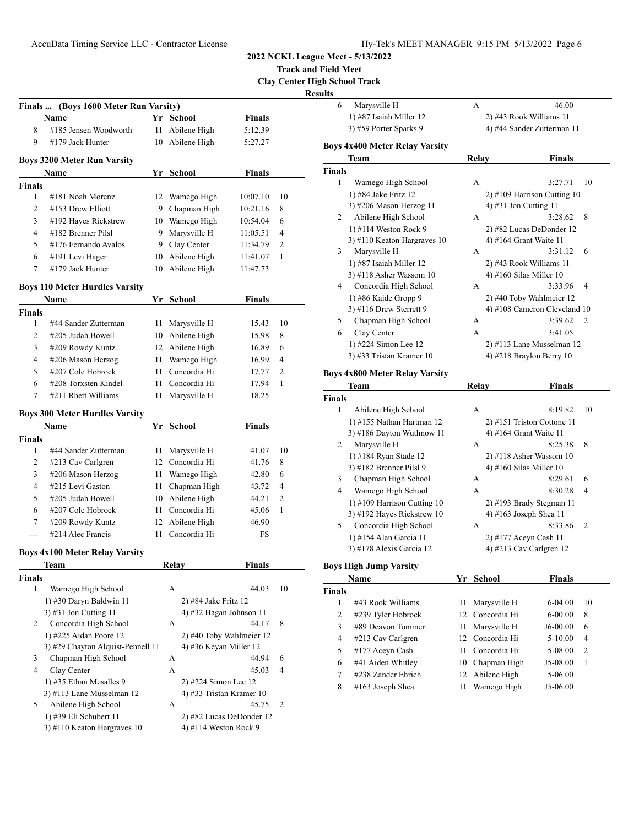**Track and Field Meet**

**Clay Center High School Track**

|                | Finals  (Boys 1600 Meter Run Varsity) |    |                          |               |    |
|----------------|---------------------------------------|----|--------------------------|---------------|----|
|                | Name                                  |    | Yr School                | <b>Finals</b> |    |
| 8              | #185 Jensen Woodworth                 | 11 | Abilene High             | 5:12.39       |    |
| 9              | #179 Jack Hunter                      | 10 | Abilene High             | 5:27.27       |    |
|                | <b>Boys 3200 Meter Run Varsity</b>    |    |                          |               |    |
|                | Name                                  |    | Yr School                | Finals        |    |
| <b>Finals</b>  |                                       |    |                          |               |    |
| 1              | #181 Noah Morenz                      | 12 | Wamego High              | 10:07.10      | 10 |
| 2              | $#153$ Drew Elliott                   | 9  | Chapman High             | 10:21.16      | 8  |
| 3              | #192 Hayes Rickstrew                  | 10 | Wamego High              | 10:54.04      | 6  |
| $\overline{4}$ | #182 Brenner Pilsl                    | 9  | Marysville H             | 11:05.51      | 4  |
| 5              | #176 Fernando Avalos                  | 9  | Clay Center              | 11:34.79      | 2  |
| 6              | #191 Levi Hager                       | 10 | Abilene High             | 11:41.07      | 1  |
| 7              | #179 Jack Hunter                      | 10 | Abilene High             | 11:47.73      |    |
|                | <b>Boys 110 Meter Hurdles Varsity</b> |    |                          |               |    |
|                | Name                                  |    | Yr School                | Finals        |    |
| <b>Finals</b>  |                                       |    |                          |               |    |
| $\mathbf{1}$   | #44 Sander Zutterman                  | 11 | Marysville H             | 15.43         | 10 |
| 2              | #205 Judah Bowell                     |    | 10 Abilene High          | 15.98         | 8  |
| 3              | #209 Rowdy Kuntz                      |    | 12 Abilene High          | 16.89         | 6  |
| $\overline{4}$ | #206 Mason Herzog                     | 11 | Wamego High              | 16.99         | 4  |
| 5              | #207 Cole Hobrock                     | 11 | Concordia Hi             | 17.77         | 2  |
| 6              | #208 Torxsten Kindel                  | 11 | Concordia Hi             | 17.94         | 1  |
| 7              | #211 Rhett Williams                   | 11 | Marysville H             | 18.25         |    |
|                | <b>Boys 300 Meter Hurdles Varsity</b> |    |                          |               |    |
|                | Name                                  |    | Yr School                | <b>Finals</b> |    |
| <b>Finals</b>  |                                       |    |                          |               |    |
| 1              | #44 Sander Zutterman                  | 11 | Marysville H             | 41.07         | 10 |
| 2              | #213 Cav Carlgren                     | 12 | Concordia Hi             | 41.76         | 8  |
| 3              | #206 Mason Herzog                     | 11 | Wamego High              | 42.80         | 6  |
| $\overline{4}$ | #215 Levi Gaston                      | 11 | Chapman High             | 43.72         | 4  |
| 5              | #205 Judah Bowell                     |    | 10 Abilene High          | 44.21         | 2  |
| 6              | #207 Cole Hobrock                     | 11 | Concordia Hi             | 45.06         | 1  |
| 7              | #209 Rowdy Kuntz                      | 12 | Abilene High             | 46.90         |    |
| ---            | #214 Alec Francis                     | 11 | Concordia Hi             | FS            |    |
|                | <b>Boys 4x100 Meter Relay Varsity</b> |    |                          |               |    |
|                | <b>Team</b>                           |    | Relay                    | <b>Finals</b> |    |
| Finals         |                                       |    |                          |               |    |
| 1              | Wamego High School                    |    | А                        | 44.03         | 10 |
|                | 1) #30 Daryn Baldwin 11               |    | 2) #84 Jake Fritz 12     |               |    |
|                | 3) #31 Jon Cutting 11                 |    | 4) #32 Hagan Johnson 11  |               |    |
| 2              | Concordia High School                 |    | А                        | 44.17         | 8  |
|                | 1) #225 Aidan Poore 12                |    | 2) #40 Toby Wahlmeier 12 |               |    |
|                | 3) #29 Chayton Alquist-Pennell 11     |    | 4) #36 Keyan Miller 12   |               |    |
| 3              | Chapman High School                   |    | A                        | 44.94         | 6  |
| 4              | Clay Center                           |    | А                        | 45.03         | 4  |
|                | 1) #35 Ethan Mesalles 9               |    | 2) #224 Simon Lee 12     |               |    |
|                | 3) #113 Lane Musselman 12             |    | 4) #33 Tristan Kramer 10 |               |    |
| 5              | Abilene High School                   |    | А                        | 45.75         | 2  |
|                | 1) #39 Eli Schubert 11                |    | 2) #82 Lucas DeDonder 12 |               |    |
|                | 3) #110 Keaton Hargraves 10           |    | 4) #114 Weston Rock 9    |               |    |

| 6             | Marysville H                          |    | А     | 46.00                         |    |  |
|---------------|---------------------------------------|----|-------|-------------------------------|----|--|
|               | 1) #87 Isaiah Miller 12               |    |       | 2) #43 Rook Williams 11       |    |  |
|               | 3) #59 Porter Sparks 9                |    |       | 4) #44 Sander Zutterman 11    |    |  |
|               | <b>Boys 4x400 Meter Relay Varsity</b> |    |       |                               |    |  |
|               | Team                                  |    | Relay | <b>Finals</b>                 |    |  |
| <b>Finals</b> |                                       |    |       |                               |    |  |
| 1             | Wamego High School                    |    | A     | 3:27.71                       | 10 |  |
|               | 1) #84 Jake Fritz 12                  |    |       | $2)$ #109 Harrison Cutting 10 |    |  |
|               | 3) #206 Mason Herzog 11               |    |       | 4) #31 Jon Cutting 11         |    |  |
| 2             | Abilene High School                   |    | А     | 3:28.62                       | 8  |  |
|               | 1) #114 Weston Rock 9                 |    |       | 2) #82 Lucas DeDonder 12      |    |  |
|               | 3) #110 Keaton Hargraves 10           |    |       | 4) #164 Grant Waite 11        |    |  |
| 3             | Marysville H                          |    | A     | 3:31.12                       | 6  |  |
|               | 1) #87 Isaiah Miller 12               |    |       | 2) #43 Rook Williams 11       |    |  |
|               | 3) #118 Asher Wassom 10               |    |       | 4) #160 Silas Miller $10$     |    |  |
| 4             | Concordia High School                 |    | A     | 3:33.96                       | 4  |  |
|               | 1) #86 Kaide Gropp 9                  |    |       | 2) #40 Toby Wahlmeier 12      |    |  |
|               | 3) #116 Drew Sterrett 9               |    |       | 4) #108 Cameron Cleveland 10  |    |  |
| 5             | Chapman High School                   |    | A     | 3:39.62                       | 2  |  |
| 6             | Clay Center                           |    | A     | 3:41.05                       |    |  |
|               | 1) #224 Simon Lee 12                  |    |       | 2) #113 Lane Musselman 12     |    |  |
|               | 3) #33 Tristan Kramer 10              |    |       | 4) #218 Braylon Berry $10$    |    |  |
|               | <b>Boys 4x800 Meter Relay Varsity</b> |    |       |                               |    |  |
|               | Team                                  |    | Relay | <b>Finals</b>                 |    |  |
| <b>Finals</b> |                                       |    |       |                               |    |  |
| 1             | Abilene High School                   |    | A     | 8:19.82                       | 10 |  |
|               | 1) #155 Nathan Hartman 12             |    |       | 2) #151 Triston Cottone 11    |    |  |
|               | 3) #186 Dayton Wuthnow 11             |    |       | 4) #164 Grant Waite 11        |    |  |
| 2             | Marysville H                          |    | А     | 8:25.38                       | 8  |  |
|               | 1) #184 Ryan Stade 12                 |    |       | 2) #118 Asher Wassom 10       |    |  |
|               | 3) #182 Brenner Pilsl 9               |    |       | 4) #160 Silas Miller 10       |    |  |
| 3             | Chapman High School                   |    | А     | 8:29.61                       | 6  |  |
| 4             | Wamego High School                    |    | A     | 8:30.28                       | 4  |  |
|               | 1) #109 Harrison Cutting 10           |    |       | 2) #193 Brady Stegman 11      |    |  |
|               | 3) #192 Hayes Rickstrew 10            |    |       | 4) #163 Joseph Shea 11        |    |  |
| 5             | Concordia High School                 |    | А     | 8:33.86                       | 2  |  |
|               | 1) #154 Alan Garcia 11                |    |       | 2) #177 Aceyn Cash 11         |    |  |
|               | 3) #178 Alexis Garcia 12              |    |       | 4) #213 Cav Carlgren $12$     |    |  |
|               | <b>Boys High Jump Varsity</b>         |    |       |                               |    |  |
|               | Name                                  | Yr |       | <b>School</b><br>Finals       |    |  |

| Name          |                      | Y r | School          | <b>Finals</b> |                |  |
|---------------|----------------------|-----|-----------------|---------------|----------------|--|
| <b>Finals</b> |                      |     |                 |               |                |  |
|               | #43 Rook Williams    |     | 11 Marysville H | $6-04.00$     | 10             |  |
| 2             | #239 Tyler Hobrock   |     | 12 Concordia Hi | $6 - 00.00$   | 8              |  |
| 3             | $\#89$ Deavon Tommer |     | 11 Marysville H | $J6-00.00$    | 6              |  |
| 4             | #213 Cav Carlgren    |     | 12 Concordia Hi | $5-10.00$     | 4              |  |
| 5             | #177 Aceyn Cash      | 11  | Concordia Hi    | 5-08.00       | $\overline{2}$ |  |
| 6             | #41 Aiden Whitley    |     | 10 Chapman High | J5-08.00      | 1              |  |
| 7             | #238 Zander Ehrich   |     | 12 Abilene High | 5-06.00       |                |  |
| 8             | $#163$ Joseph Shea   |     | Wamego High     | J5-06.00      |                |  |
|               |                      |     |                 |               |                |  |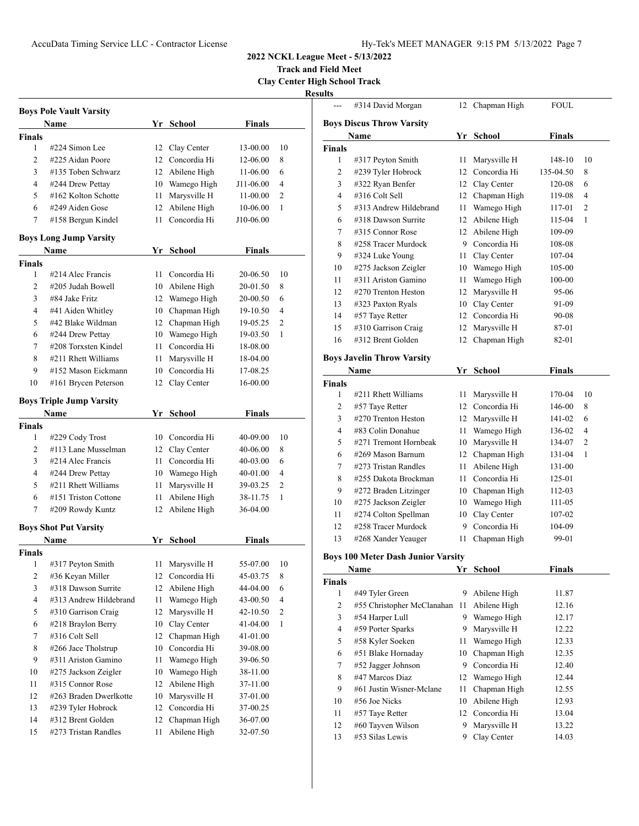# AccuData Timing Service LLC - Contractor License Hy-Tek's MEET MANAGER 9:15 PM 5/13/2022 Page 7

--- #314 David Morgan 12 Chapman High FOUL

**2022 NCKL League Meet - 5/13/2022**

**Track and Field Meet**

**Clay Center High School Track**

**Results**

|                          | <b>Boys Pole Vault Varsity</b>          |      |                                |                      |                |
|--------------------------|-----------------------------------------|------|--------------------------------|----------------------|----------------|
|                          | <b>Name</b>                             |      | Yr School                      | <b>Finals</b>        |                |
| <b>Finals</b>            |                                         |      |                                |                      |                |
| 1                        | #224 Simon Lee                          | 12   | Clay Center<br>12 Concordia Hi | 13-00.00             | 10             |
| 2                        | #225 Aidan Poore                        |      |                                | 12-06.00             | 8              |
| 3                        | #135 Toben Schwarz                      |      | 12 Abilene High                | 11-06.00             | 6              |
| 4                        | #244 Drew Pettay<br>#162 Kolton Schotte | 10   | Wamego High                    | J11-06.00            | 4              |
| 5                        |                                         | 11   | Marysville H                   | 11-00.00             | 2              |
| 6                        | #249 Aiden Gose                         | 12   | Abilene High                   | 10-06.00             | 1              |
| 7                        | #158 Bergun Kindel                      | 11   | Concordia Hi                   | J10-06.00            |                |
|                          | <b>Boys Long Jump Varsity</b>           |      |                                |                      |                |
|                          | Name                                    |      | Yr School                      | Finals               |                |
| <b>Finals</b>            |                                         |      |                                |                      |                |
| 1                        | #214 Alec Francis                       | 11   | Concordia Hi                   | 20-06.50             | 10             |
| 2                        | #205 Judah Bowell                       | 10   | Abilene High                   | 20-01.50             | 8              |
| 3                        | #84 Jake Fritz                          |      | 12 Wamego High                 | 20-00.50             | 6              |
| 4                        | #41 Aiden Whitley                       | 10   | Chapman High                   | 19-10.50             | 4              |
| 5                        | #42 Blake Wildman                       | 12   | Chapman High                   | 19-05.25             | 2              |
| 6                        | #244 Drew Pettay                        | 10   | Wamego High                    | 19-03.50             | 1              |
| 7                        | #208 Torxsten Kindel                    | 11   | Concordia Hi                   | 18-08.00             |                |
| 8                        | #211 Rhett Williams                     | 11   | Marysville H                   | 18-04.00             |                |
| 9                        | #152 Mason Eickmann                     | 10   | Concordia Hi                   | 17-08.25             |                |
| 10                       | #161 Brycen Peterson                    | 12   | Clay Center                    | 16-00.00             |                |
|                          | <b>Boys Triple Jump Varsity</b>         |      |                                |                      |                |
|                          | Name                                    |      | Yr School                      | Finals               |                |
| <b>Finals</b>            |                                         |      |                                |                      |                |
| 1                        | #229 Cody Trost                         |      | 10 Concordia Hi                | 40-09.00             | 10             |
| 2                        | #113 Lane Musselman                     |      | 12 Clay Center                 | 40-06.00             | 8              |
| 3                        | #214 Alec Francis                       | 11 - | Concordia Hi                   | 40-03.00             | 6              |
| 4                        | #244 Drew Pettay                        | 10   | Wamego High                    | 40-01.00             | 4              |
| 5                        | #211 Rhett Williams                     | 11   | Marysville H                   | 39-03.25             | 2              |
| 6                        | #151 Triston Cottone                    | 11   | Abilene High                   | 38-11.75             | 1              |
| 7                        | #209 Rowdy Kuntz                        | 12   | Abilene High                   | 36-04.00             |                |
|                          | <b>Boys Shot Put Varsity</b>            |      |                                |                      |                |
|                          | Name                                    |      | Yr School                      | Finals               |                |
| <b>Finals</b>            |                                         |      |                                |                      |                |
| 1                        | #317 Peyton Smith                       | 11   | Marysville H                   | 55-07.00             | 10             |
| 2                        | #36 Keyan Miller                        | 12   | Concordia Hi                   | 45-03.75             | 8              |
| 3                        | #318 Dawson Surrite                     | 12   | Abilene High                   | 44-04.00             | 6              |
| $\overline{\mathcal{L}}$ | #313 Andrew Hildebrand                  | 11   | Wamego High                    | 43-00.50             | 4              |
| 5                        | #310 Garrison Craig                     | 12   | Marysville H                   | 42-10.50             | $\overline{c}$ |
| 6                        | #218 Braylon Berry                      | 10   | Clay Center                    | 41-04.00             | 1              |
| 7                        | #316 Colt Sell                          | 12   | Chapman High                   | 41-01.00             |                |
| 8                        | #266 Jace Tholstrup                     | 10   | Concordia Hi                   | 39-08.00             |                |
| 9                        | #311 Ariston Gamino                     | 11   | Wamego High                    | 39-06.50             |                |
| 10                       | #275 Jackson Zeigler                    | 10   | Wamego High                    | 38-11.00             |                |
| 11                       | #315 Connor Rose                        | 12   | Abilene High                   | 37-11.00             |                |
| 12                       | #263 Braden Dwerlkotte                  | 10   | Marysville H                   |                      |                |
| 13                       | #239 Tyler Hobrock                      | 12   | Concordia Hi                   | 37-01.00<br>37-00.25 |                |
| 14                       | #312 Brent Golden                       | 12   | Chapman High                   | 36-07.00             |                |
| 15                       | #273 Tristan Randles                    | 11   | Abilene High                   | 32-07.50             |                |
|                          |                                         |      |                                |                      |                |

| <b>Boys Discus Throw Varsity</b>                                   |           |    |  |  |  |  |  |  |
|--------------------------------------------------------------------|-----------|----|--|--|--|--|--|--|
| Name<br>Yr School                                                  | Finals    |    |  |  |  |  |  |  |
| <b>Finals</b>                                                      |           |    |  |  |  |  |  |  |
| 1<br>#317 Peyton Smith<br>11<br>Marysville H                       | 148-10    | 10 |  |  |  |  |  |  |
| Concordia Hi<br>2<br>#239 Tyler Hobrock<br>12                      | 135-04.50 | 8  |  |  |  |  |  |  |
| 3<br>#322 Ryan Benfer<br>12 Clay Center                            | 120-08    | 6  |  |  |  |  |  |  |
| $\overline{4}$<br>#316 Colt Sell<br>12 Chapman High                | 119-08    | 4  |  |  |  |  |  |  |
| Wamego High<br>5<br>#313 Andrew Hildebrand<br>11 -                 | 117-01    | 2  |  |  |  |  |  |  |
| 6<br>#318 Dawson Surrite<br>Abilene High<br>12                     | 115-04    | 1  |  |  |  |  |  |  |
| 7<br>#315 Connor Rose<br>12 Abilene High                           | 109-09    |    |  |  |  |  |  |  |
| 9 Concordia Hi<br>8<br>#258 Tracer Murdock                         | 108-08    |    |  |  |  |  |  |  |
| 9<br>#324 Luke Young<br>Clay Center<br>11 -                        | 107-04    |    |  |  |  |  |  |  |
| 10<br>#275 Jackson Zeigler<br>10 Wamego High                       | 105-00    |    |  |  |  |  |  |  |
| #311 Ariston Gamino<br>11<br>Wamego High<br>11 -                   | 100-00    |    |  |  |  |  |  |  |
| 12<br>#270 Trenton Heston<br>Marysville H<br>12                    | 95-06     |    |  |  |  |  |  |  |
| 13<br>#323 Paxton Ryals<br>10 Clay Center                          | 91-09     |    |  |  |  |  |  |  |
| 14<br>#57 Taye Retter<br>12 Concordia Hi                           | 90-08     |    |  |  |  |  |  |  |
| #310 Garrison Craig<br>15<br>Marysville H<br>12                    | 87-01     |    |  |  |  |  |  |  |
| 16<br>#312 Brent Golden<br>12<br>Chapman High                      | 82-01     |    |  |  |  |  |  |  |
|                                                                    |           |    |  |  |  |  |  |  |
| <b>Boys Javelin Throw Varsity</b>                                  |           |    |  |  |  |  |  |  |
| Name<br>Yr<br>School                                               | Finals    |    |  |  |  |  |  |  |
| <b>Finals</b>                                                      |           |    |  |  |  |  |  |  |
| 1<br>#211 Rhett Williams<br>11 Marysville H                        | 170-04    | 10 |  |  |  |  |  |  |
| 12 Concordia Hi<br>2<br>#57 Taye Retter                            | 146-00    | 8  |  |  |  |  |  |  |
| #270 Trenton Heston<br>3<br>12 Marysville H                        | 141-02    | 6  |  |  |  |  |  |  |
| #83 Colin Donahue<br>4<br>11 Wamego High                           | 136-02    | 4  |  |  |  |  |  |  |
| 5<br>#271 Tremont Hornbeak<br>10 Marysville H                      | 134-07    | 2  |  |  |  |  |  |  |
| #269 Mason Barnum<br>6<br>Chapman High<br>12                       | 131-04    | 1  |  |  |  |  |  |  |
| 7<br>#273 Tristan Randles<br>11 -<br>Abilene High                  | 131-00    |    |  |  |  |  |  |  |
| 8<br>#255 Dakota Brockman<br>Concordia Hi<br>11 -                  | 125-01    |    |  |  |  |  |  |  |
| 9<br>#272 Braden Litzinger<br>10 Chapman High                      | 112-03    |    |  |  |  |  |  |  |
| 10<br>#275 Jackson Zeigler<br>10 Wamego High                       | 111-05    |    |  |  |  |  |  |  |
| 11<br>#274 Colton Spellman<br>10 Clay Center                       | 107-02    |    |  |  |  |  |  |  |
| #258 Tracer Murdock<br>Concordia Hi<br>12<br>9                     | 104-09    |    |  |  |  |  |  |  |
| 13<br>#268 Xander Yeauger<br>11<br>Chapman High                    | 99-01     |    |  |  |  |  |  |  |
| <b>Boys 100 Meter Dash Junior Varsity</b>                          |           |    |  |  |  |  |  |  |
| Name<br>School<br>Yr                                               | Finals    |    |  |  |  |  |  |  |
| Finals                                                             |           |    |  |  |  |  |  |  |
| #49 Tyler Green<br>9<br>Abilene High<br>1                          | 11.87     |    |  |  |  |  |  |  |
| $\overline{c}$<br>#55 Christopher McClanahan<br>Abilene High<br>11 | 12.16     |    |  |  |  |  |  |  |
| 3<br>#54 Harper Lull<br>Wamego High<br>9                           | 12.17     |    |  |  |  |  |  |  |
| 4<br>#59 Porter Sparks<br>Marysville H<br>9                        | 12.22     |    |  |  |  |  |  |  |
| 5<br>#58 Kyler Soeken<br>Wamego High<br>11                         | 12.33     |    |  |  |  |  |  |  |
| 6<br>#51 Blake Hornaday<br>Chapman High<br>10                      | 12.35     |    |  |  |  |  |  |  |
| Concordia Hi<br>7<br>#52 Jagger Johnson<br>9.                      | 12.40     |    |  |  |  |  |  |  |
| 8<br>#47 Marcos Diaz<br>12<br>Wamego High                          | 12.44     |    |  |  |  |  |  |  |
| #61 Justin Wisner-Mclane<br>11<br>Chapman High<br>9                | 12.55     |    |  |  |  |  |  |  |
| #56 Joe Nicks<br>Abilene High<br>10<br>10                          | 12.93     |    |  |  |  |  |  |  |
| Concordia Hi<br>11<br>#57 Taye Retter<br>12                        | 13.04     |    |  |  |  |  |  |  |
| 12<br>#60 Tayven Wilson<br>9<br>Marysville H                       | 13.22     |    |  |  |  |  |  |  |

#53 Silas Lewis 9 Clay Center 14.03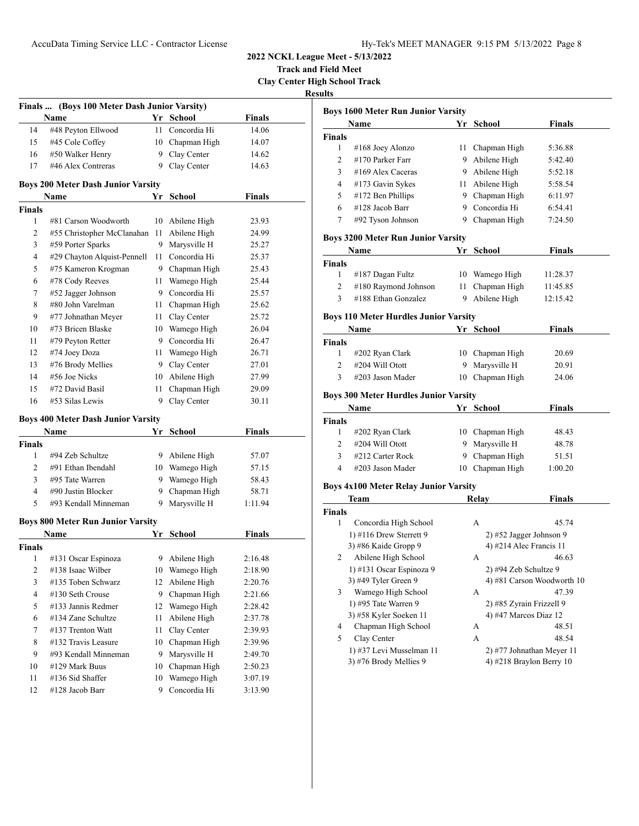**Track and Field Meet Clay Center High School Track**

**Results**

|                | Finals  (Boys 100 Meter Dash Junior Varsity)      |      |                 |               |  |
|----------------|---------------------------------------------------|------|-----------------|---------------|--|
|                | Name                                              |      | Yr School       | <b>Finals</b> |  |
| 14             | #48 Peyton Ellwood                                | 11   | Concordia Hi    | 14.06         |  |
| 15             | #45 Cole Coffey                                   |      | 10 Chapman High | 14.07         |  |
| 16             | #50 Walker Henry                                  |      | 9 Clay Center   | 14.62         |  |
| 17             | #46 Alex Contreras                                |      | 9 Clay Center   | 14.63         |  |
|                |                                                   |      |                 |               |  |
|                | <b>Boys 200 Meter Dash Junior Varsity</b><br>Name |      | Yr School       | <b>Finals</b> |  |
| <b>Finals</b>  |                                                   |      |                 |               |  |
| 1              | #81 Carson Woodworth                              | 10   | Abilene High    | 23.93         |  |
| 2              | #55 Christopher McClanahan                        | 11   | Abilene High    | 24.99         |  |
| 3              | #59 Porter Sparks                                 | 9    | Marysville H    | 25.27         |  |
| 4              | #29 Chayton Alquist-Pennell                       | 11   | Concordia Hi    | 25.37         |  |
| 5              | #75 Kameron Krogman                               |      | 9 Chapman High  | 25.43         |  |
| 6              | #78 Cody Reeves                                   | 11   | Wamego High     | 25.44         |  |
| 7              | #52 Jagger Johnson                                |      | 9 Concordia Hi  | 25.57         |  |
| 8              | #80 John Varelman                                 | 11   | Chapman High    | 25.62         |  |
| 9              | #77 Johnathan Meyer                               | 11 - | Clay Center     | 25.72         |  |
| 10             | #73 Bricen Blaske                                 |      | 10 Wamego High  | 26.04         |  |
| 11             | #79 Peyton Retter                                 |      | 9 Concordia Hi  | 26.47         |  |
| 12             | #74 Joey Doza                                     |      | 11 Wamego High  | 26.71         |  |
| 13             | #76 Brody Mellies                                 |      | 9 Clay Center   | 27.01         |  |
| 14             | #56 Joe Nicks                                     |      | 10 Abilene High | 27.99         |  |
| 15             | #72 David Basil                                   | 11   | Chapman High    | 29.09         |  |
| 16             | #53 Silas Lewis                                   | 9    | Clay Center     | 30.11         |  |
|                |                                                   |      |                 |               |  |
|                | <b>Boys 400 Meter Dash Junior Varsity</b>         |      |                 |               |  |
|                | Name                                              |      | Yr School       | <b>Finals</b> |  |
| Finals         |                                                   |      |                 |               |  |
| 1              | #94 Zeb Schultze                                  |      | 9 Abilene High  | 57.07         |  |
| 2              | #91 Ethan Ibendahl                                |      | 10 Wamego High  | 57.15         |  |
| 3              | #95 Tate Warren                                   |      | 9 Wamego High   | 58.43         |  |
| 4              | #90 Justin Blocker                                |      | 9 Chapman High  | 58.71         |  |
| 5              | #93 Kendall Minneman                              | 9.   | Marysville H    | 1:11.94       |  |
|                | <b>Boys 800 Meter Run Junior Varsity</b>          |      |                 |               |  |
|                | Name                                              | Yr   | <b>School</b>   | <b>Finals</b> |  |
| Finals         |                                                   |      |                 |               |  |
| 1              | #131 Oscar Espinoza                               | 9    | Abilene High    | 2:16.48       |  |
| $\overline{c}$ | #138 Isaac Wilber                                 | 10   | Wamego High     | 2:18.90       |  |
| 3              | #135 Toben Schwarz                                | 12   | Abilene High    | 2:20.76       |  |
| 4              | #130 Seth Crouse                                  | 9    | Chapman High    | 2:21.66       |  |
| 5              | #133 Jannis Redmer                                | 12   | Wamego High     | 2:28.42       |  |
| 6              | #134 Zane Schultze                                | 11   | Abilene High    | 2:37.78       |  |
| 7              | #137 Trenton Watt                                 | 11   | Clay Center     | 2:39.93       |  |
| 8              | #132 Travis Leasure                               | 10   | Chapman High    | 2:39.96       |  |
| 9              | #93 Kendall Minneman                              | 9    | Marysville H    | 2:49.70       |  |
| 10             | #129 Mark Buus                                    | 10   | Chapman High    | 2:50.23       |  |
| 11             | #136 Sid Shaffer                                  | 10   | Wamego High     | 3:07.19       |  |
| 12             | #128 Jacob Barr                                   | 9    | Concordia Hi    | 3:13.90       |  |
|                |                                                   |      |                 |               |  |

| ulto           | <b>Boys 1600 Meter Run Junior Varsity</b>    |      |                           |                            |
|----------------|----------------------------------------------|------|---------------------------|----------------------------|
|                | Name                                         |      | Yr School                 | Finals                     |
| <b>Finals</b>  |                                              |      |                           |                            |
| 1              | #168 Joey Alonzo                             | 11 - | Chapman High              | 5:36.88                    |
| 2              | #170 Parker Farr                             |      | 9 Abilene High            | 5:42.40                    |
| 3              | #169 Alex Caceras                            |      | 9 Abilene High            | 5:52.18                    |
| $\overline{4}$ | #173 Gavin Sykes                             |      | 11 Abilene High           | 5:58.54                    |
| 5              | #172 Ben Phillips                            |      | 9 Chapman High            | 6:11.97                    |
| 6              | #128 Jacob Barr                              |      | 9 Concordia Hi            | 6:54.41                    |
| 7              | #92 Tyson Johnson                            |      | 9 Chapman High            | 7:24.50                    |
|                | <b>Boys 3200 Meter Run Junior Varsity</b>    |      |                           |                            |
|                | Name                                         | Yr   | School                    | Finals                     |
| <b>Finals</b>  |                                              |      |                           |                            |
| 1              | #187 Dagan Fultz                             |      | 10 Wamego High            | 11:28.37                   |
| 2              | #180 Raymond Johnson                         | 11   | Chapman High              | 11:45.85                   |
| 3              | #188 Ethan Gonzalez                          | 9    | Abilene High              | 12:15.42                   |
|                |                                              |      |                           |                            |
|                | <b>Boys 110 Meter Hurdles Junior Varsity</b> |      |                           |                            |
|                | Name                                         |      | Yr School                 | Finals                     |
| <b>Finals</b>  |                                              |      |                           |                            |
| $\mathbf{1}$   | #202 Ryan Clark                              |      | 10 Chapman High           | 20.69                      |
| $\overline{c}$ | #204 Will Otott                              | 9    | Marysville H              | 20.91                      |
| 3              | #203 Jason Mader                             | 10   | Chapman High              | 24.06                      |
|                | <b>Boys 300 Meter Hurdles Junior Varsity</b> |      |                           |                            |
|                | Name                                         |      | Yr School                 | <b>Finals</b>              |
| <b>Finals</b>  |                                              |      |                           |                            |
| 1              | #202 Ryan Clark                              |      | 10 Chapman High           | 48.43                      |
| 2              | #204 Will Otott                              |      | 9 Marysville H            | 48.78                      |
| 3              | #212 Carter Rock                             | 9    | Chapman High              | 51.51                      |
| 4              | #203 Jason Mader                             |      | 10 Chapman High           | 1:00.20                    |
|                | <b>Boys 4x100 Meter Relay Junior Varsity</b> |      |                           |                            |
|                | Team                                         |      | <b>Relay</b>              | Finals                     |
| <b>Finals</b>  |                                              |      |                           |                            |
| 1              | Concordia High School                        |      | А                         | 45.74                      |
|                | 1) #116 Drew Sterrett 9                      |      | $2)$ #52 Jagger Johnson 9 |                            |
|                | 3) #86 Kaide Gropp 9                         |      | 4) #214 Alec Francis 11   |                            |
| 2              | Abilene High School                          |      | А                         | 46.63                      |
|                | 1) #131 Oscar Espinoza 9                     |      | $2)$ #94 Zeb Schultze 9   |                            |
|                | 3) #49 Tyler Green 9                         |      |                           | 4) #81 Carson Woodworth 10 |
| 3              | Wamego High School                           |      | А                         | 47.39                      |
|                | 1) #95 Tate Warren 9                         |      | 2) #85 Zyrain Frizzell 9  |                            |
|                | 3) #58 Kyler Soeken 11                       |      | 4) #47 Marcos Diaz 12     |                            |

 Chapman High School A 48.51 Clay Center A 48.54 1) #37 Levi Musselman 11 2) #77 Johnathan Meyer 11 3) #76 Brody Mellies 9 4) #218 Braylon Berry 10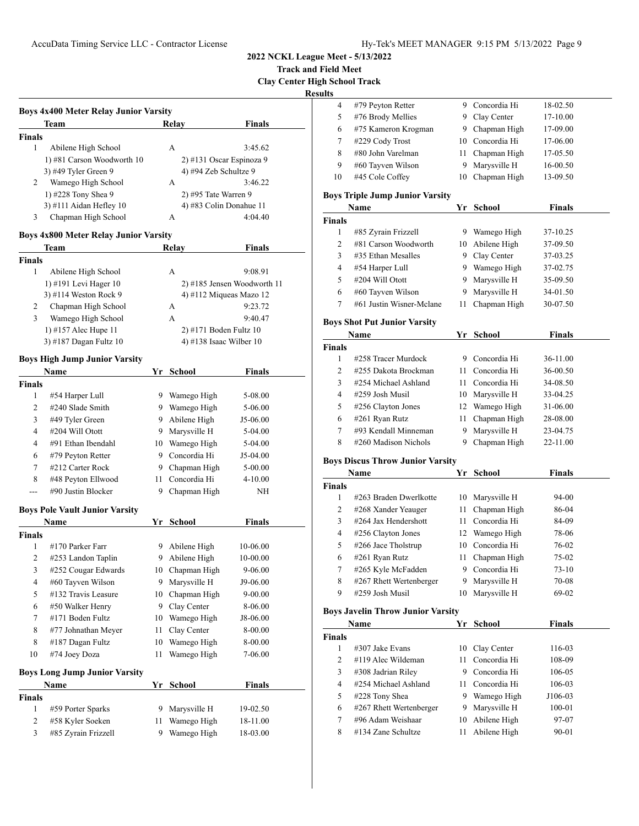**Track and Field Meet**

**Clay Center High School Track**

| ۰. |  |
|----|--|
|    |  |

|               | Team                       | Relay | <b>Finals</b>              |
|---------------|----------------------------|-------|----------------------------|
| <b>Finals</b> |                            |       |                            |
| 1             | Abilene High School        | A     | 3:45.62                    |
|               | 1) #81 Carson Woodworth 10 |       | $2)$ #131 Oscar Espinoza 9 |
|               | 3) #49 Tyler Green 9       |       | 4) #94 Zeb Schultze 9      |
| 2             | Wamego High School         | А     | 3:46.22                    |
|               | 1) #228 Tony Shea 9        |       | $2)$ #95 Tate Warren 9     |
|               | $3)$ #111 Aidan Hefley 10  |       | 4) #83 Colin Donahue 11    |
| 3             | Chapman High School        | А     | 4:04.40                    |

## **Boys 4x800 Meter Relay Junior Varsity**

|        | Team                   | Relav | Finals                        |
|--------|------------------------|-------|-------------------------------|
| Finals |                        |       |                               |
|        | Abilene High School    | А     | 9:08.91                       |
|        | 1) #191 Levi Hager 10  |       | $2)$ #185 Jensen Woodworth 11 |
|        | 3) #114 Weston Rock 9  |       | 4) #112 Miqueas Mazo 12       |
| 2      | Chapman High School    | А     | 9:23.72                       |
| 3      | Wamego High School     | A     | 9:40.47                       |
|        | 1) #157 Alec Hupe 11   |       | 2) #171 Boden Fultz 10        |
|        | 3) #187 Dagan Fultz 10 |       | 4) #138 Isaac Wilber $10$     |
|        |                        |       |                               |

### **Boys High Jump Junior Varsity**

| <b>Name</b>                           | Yr | <b>School</b> | <b>Finals</b> |  |
|---------------------------------------|----|---------------|---------------|--|
|                                       |    |               |               |  |
| #54 Harper Lull                       | 9  | Wamego High   | 5-08.00       |  |
| #240 Slade Smith                      | 9  | Wamego High   | 5-06.00       |  |
| #49 Tyler Green                       | 9  | Abilene High  | J5-06.00      |  |
| #204 Will Otott                       | 9  | Marysville H  | 5-04.00       |  |
| #91 Ethan Ibendahl                    | 10 | Wamego High   | $5-04.00$     |  |
| #79 Peyton Retter                     | 9  | Concordia Hi  | J5-04.00      |  |
| #212 Carter Rock                      | 9  | Chapman High  | $5 - 00.00$   |  |
| #48 Peyton Ellwood                    | 11 | Concordia Hi  | $4 - 10.00$   |  |
| #90 Justin Blocker                    | 9  | Chapman High  | <b>NH</b>     |  |
| <b>Boys Pole Vault Junior Varsity</b> |    |               |               |  |
| <b>Name</b>                           | Yr | <b>School</b> | Finals        |  |
|                                       |    |               |               |  |
| #170 Parker Farr                      | 9  | Abilene High  | 10-06.00      |  |
| #253 Landon Taplin                    | 9  | Abilene High  | 10-00.00      |  |
| #252 Cougar Edwards                   | 10 | Chapman High  | $9 - 06.00$   |  |
| #60 Tayven Wilson                     | 9  | Marysville H  | J9-06.00      |  |
| #132 Travis Leasure                   | 10 | Chapman High  | $9 - 00.00$   |  |
| #50 Walker Henry                      | 9  | Clay Center   | 8-06.00       |  |
| #171 Boden Fultz                      | 10 | Wamego High   | J8-06.00      |  |
| #77 Johnathan Meyer                   | 11 | Clay Center   | 8-00.00       |  |
| #187 Dagan Fultz                      | 10 | Wamego High   | 8-00.00       |  |
| #74 Joey Doza                         | 11 | Wamego High   | 7-06.00       |  |
| <b>Boys Long Jump Junior Varsity</b>  |    |               |               |  |
| <b>Name</b>                           |    | <b>School</b> | Finals        |  |
|                                       |    |               |               |  |
| #59 Porter Sparks                     | 9  | Marysville H  | 19-02.50      |  |
| #58 Kyler Soeken                      | 11 | Wamego High   | 18-11.00      |  |
| #85 Zyrain Frizzell                   | 9  | Wamego High   | 18-03.00      |  |
|                                       |    |               | Yr            |  |

| սութ               |                                                 |      |                                  |                      |  |
|--------------------|-------------------------------------------------|------|----------------------------------|----------------------|--|
| 4                  | #79 Peyton Retter                               |      | 9 Concordia Hi                   | 18-02.50             |  |
| 5                  | #76 Brody Mellies                               | 9    | Clay Center                      | 17-10.00             |  |
| 6                  | #75 Kameron Krogman                             | 9.   | Chapman High                     | 17-09.00             |  |
| 7                  | #229 Cody Trost                                 | 10   | Concordia Hi                     | 17-06.00             |  |
| 8                  | #80 John Varelman                               | 11   | Chapman High                     | 17-05.50             |  |
| 9                  | #60 Tayven Wilson                               | 9    | Marysville H                     | 16-00.50             |  |
| 10                 | #45 Cole Coffey                                 | 10   | Chapman High                     | 13-09.50             |  |
|                    |                                                 |      |                                  |                      |  |
|                    | <b>Boys Triple Jump Junior Varsity</b>          |      |                                  |                      |  |
|                    | Name                                            |      | Yr School                        | <b>Finals</b>        |  |
| <b>Finals</b><br>1 |                                                 |      |                                  |                      |  |
| 2                  | #85 Zyrain Frizzell<br>#81 Carson Woodworth     |      | 9 Wamego High<br>10 Abilene High | 37-10.25<br>37-09.50 |  |
|                    |                                                 |      |                                  |                      |  |
| 3<br>4             | #35 Ethan Mesalles                              |      | 9 Clay Center                    | 37-03.25             |  |
|                    | #54 Harper Lull                                 |      | 9 Wamego High                    | 37-02.75             |  |
| 5                  | #204 Will Otott                                 | 9    | Marysville H                     | 35-09.50             |  |
| 6                  | #60 Tayven Wilson                               | 9    | Marysville H                     | 34-01.50             |  |
| 7                  | #61 Justin Wisner-Mclane                        | 11   | Chapman High                     | 30-07.50             |  |
|                    | <b>Boys Shot Put Junior Varsity</b>             |      |                                  |                      |  |
|                    | Name                                            |      | Yr School                        | <b>Finals</b>        |  |
| <b>Finals</b>      |                                                 |      |                                  |                      |  |
| 1                  | #258 Tracer Murdock                             |      | 9 Concordia Hi                   | 36-11.00             |  |
| 2                  | #255 Dakota Brockman                            |      | 11 Concordia Hi                  | 36-00.50             |  |
| 3                  | #254 Michael Ashland                            |      | 11 Concordia Hi                  | 34-08.50             |  |
| 4                  | #259 Josh Musil                                 |      | 10 Marysville H                  | 33-04.25             |  |
| 5                  | #256 Clayton Jones                              |      | 12 Wamego High                   | 31-06.00             |  |
| 6                  | #261 Ryan Rutz                                  | 11   | Chapman High                     | 28-08.00             |  |
| 7                  | #93 Kendall Minneman                            | 9    | Marysville H                     | 23-04.75             |  |
| 8                  | #260 Madison Nichols                            | 9    | Chapman High                     | 22-11.00             |  |
|                    |                                                 |      |                                  |                      |  |
|                    | <b>Boys Discus Throw Junior Varsity</b><br>Name | Yr   |                                  | <b>Finals</b>        |  |
|                    |                                                 |      | School                           |                      |  |
| <b>Finals</b><br>1 | #263 Braden Dwerlkotte                          | 10   | Marysville H                     | 94-00                |  |
| 2                  |                                                 |      |                                  | 86-04                |  |
| 3                  | #268 Xander Yeauger<br>#264 Jax Hendershott     | 11   | Chapman High<br>11 Concordia Hi  | 84-09                |  |
| 4                  | #256 Clayton Jones                              |      | 12 Wamego High                   | 78-06                |  |
| 5                  |                                                 | 10   | Concordia Hi                     | 76-02                |  |
| 6                  | #266 Jace Tholstrup<br>#261 Ryan Rutz           | 11   | Chapman High                     | 75-02                |  |
| 7                  | #265 Kyle McFadden                              |      | 9 Concordia Hi                   | $73-10$              |  |
| 8                  | #267 Rhett Wertenberger                         | 9    | Marysville H                     | 70-08                |  |
| 9                  | #259 Josh Musil                                 | 10   | Marysville H                     | 69-02                |  |
|                    |                                                 |      |                                  |                      |  |
|                    | <b>Boys Javelin Throw Junior Varsity</b>        |      |                                  |                      |  |
|                    | Name                                            |      | Yr School                        | Finals               |  |
| Finals             |                                                 |      |                                  |                      |  |
| 1                  | #307 Jake Evans                                 | 10   | Clay Center                      | 116-03               |  |
| 2                  | #119 Alec Wildeman                              | 11   | Concordia Hi                     | 108-09               |  |
| 3                  | #308 Jadrian Riley                              | 9.   | Concordia Hi                     | 106-05               |  |
| 4                  | #254 Michael Ashland                            | 11 - | Concordia Hi                     | 106-03               |  |
| 5                  | #228 Tony Shea                                  |      | 9 Wamego High                    | J106-03              |  |
| 6                  | #267 Rhett Wertenberger                         | 9    | Marysville H                     | 100-01               |  |
| 7                  | #96 Adam Weishaar                               | 10   | Abilene High                     | 97-07                |  |
| 8                  | #134 Zane Schultze                              | 11   | Abilene High                     | 90-01                |  |
|                    |                                                 |      |                                  |                      |  |